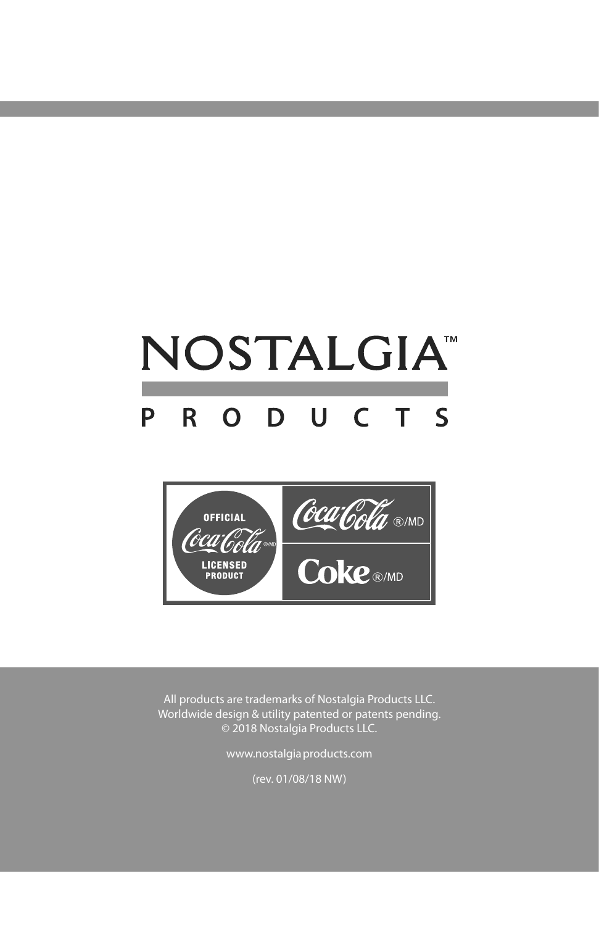## NOSTALGIA<sup>®</sup> R O D U C T S P



All products are trademarks of Nostalgia Products LLC. Worldwide design & utility patented or patents pending. © 2018 Nostalgia Products LLC.

www.nostalgiaproducts.com

(rev. 01/08/18 NW)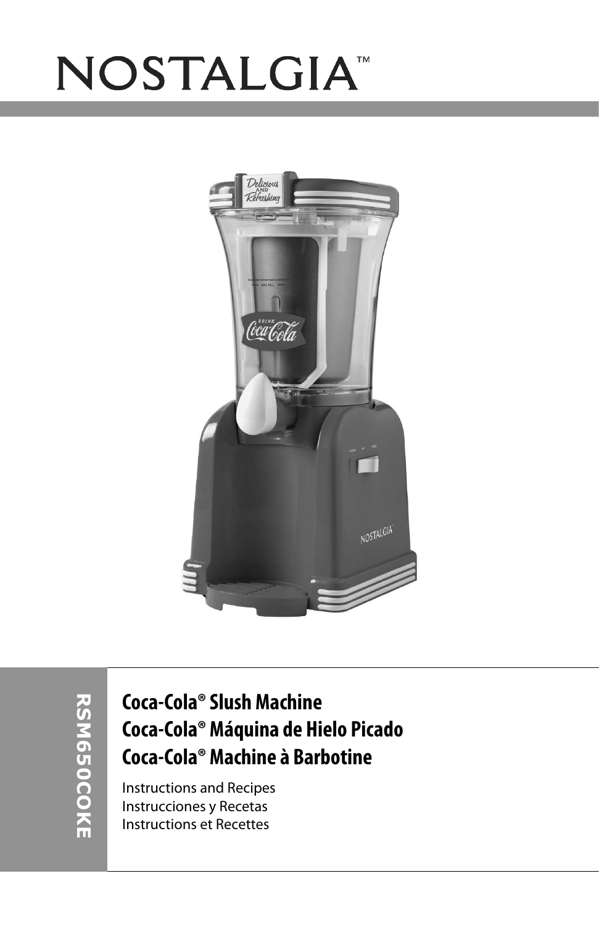# NOSTALGIA<sup>®</sup>



### **Coca-Cola® Slush Machine Coca-Cola® Máquina de Hielo Picado Coca-Cola® Machine à Barbotine**

Instructions and Recipes Instrucciones y Recetas Instructions et Recettes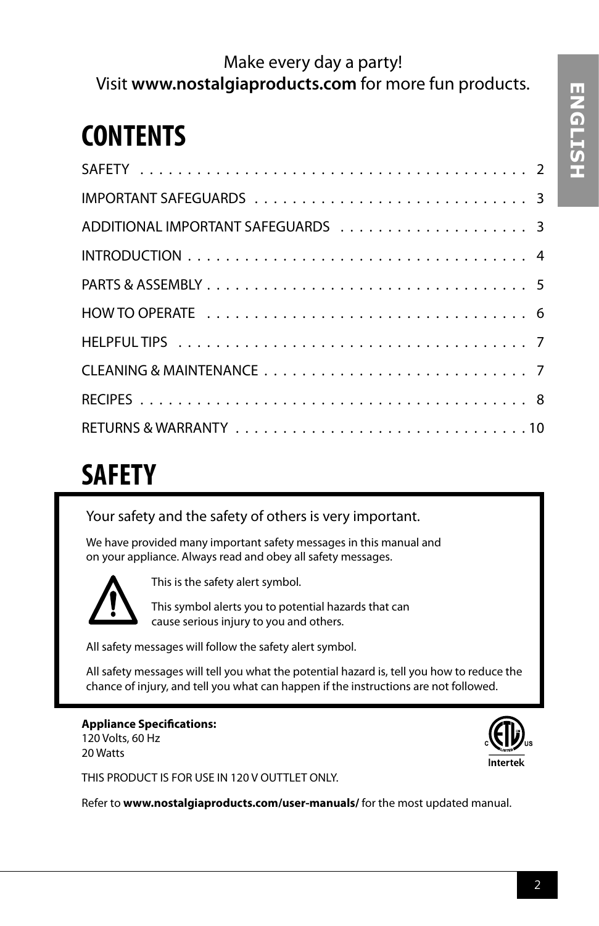### Make every day a party! Visit **www.nostalgiaproducts.com** for more fun products.

## **CONTENTS**

## **SAFETY**

### Your safety and the safety of others is very important.

We have provided many important safety messages in this manual and on your appliance. Always read and obey all safety messages.



This is the safety alert symbol.

This symbol alerts you to potential hazards that can cause serious injury to you and others.

All safety messages will follow the safety alert symbol.

All safety messages will tell you what the potential hazard is, tell you how to reduce the chance of injury, and tell you what can happen if the instructions are not followed.

#### **Appliance Specifications:** 120 Volts, 60 Hz

20 Watts



THIS PRODUCT IS FOR USE IN 120 V OUTTLET ONLY.

Refer to **www.nostalgiaproducts.com/user-manuals/** for the most updated manual.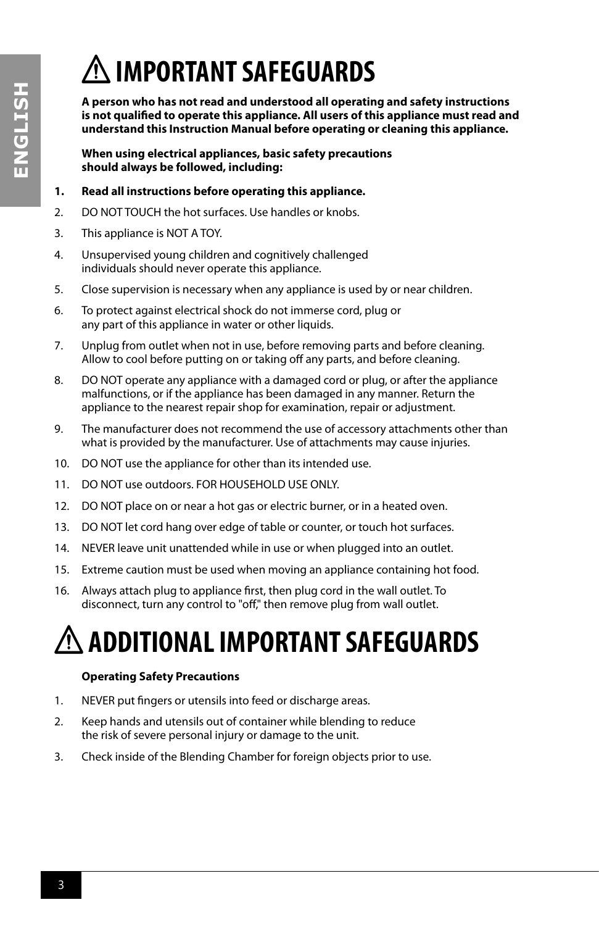## **IMPORTANT SAFEGUARDS**

**A person who has not read and understood all operating and safety instructions is not qualified to operate this appliance. All users of this appliance must read and understand this Instruction Manual before operating or cleaning this appliance.**

**When using electrical appliances, basic safety precautions should always be followed, including:**

### **1. Read all instructions before operating this appliance.**

- 2. DO NOT TOUCH the hot surfaces. Use handles or knobs.
- 3. This appliance is NOT A TOY.
- 4. Unsupervised young children and cognitively challenged individuals should never operate this appliance.
- 5. Close supervision is necessary when any appliance is used by or near children.
- 6. To protect against electrical shock do not immerse cord, plug or any part of this appliance in water or other liquids.
- 7. Unplug from outlet when not in use, before removing parts and before cleaning. Allow to cool before putting on or taking off any parts, and before cleaning.
- 8. DO NOT operate any appliance with a damaged cord or plug, or after the appliance malfunctions, or if the appliance has been damaged in any manner. Return the appliance to the nearest repair shop for examination, repair or adjustment.
- 9. The manufacturer does not recommend the use of accessory attachments other than what is provided by the manufacturer. Use of attachments may cause injuries.
- 10. DO NOT use the appliance for other than its intended use.
- 11. DO NOT use outdoors. FOR HOUSEHOLD USE ONLY.
- 12. DO NOT place on or near a hot gas or electric burner, or in a heated oven.
- 13. DO NOT let cord hang over edge of table or counter, or touch hot surfaces.
- 14. NEVER leave unit unattended while in use or when plugged into an outlet.
- 15. Extreme caution must be used when moving an appliance containing hot food.
- 16. Always attach plug to appliance first, then plug cord in the wall outlet. To disconnect, turn any control to "off," then remove plug from wall outlet.

## **ADDITIONAL IMPORTANT SAFEGUARDS**

### **Operating Safety Precautions**

- 1. NEVER put fingers or utensils into feed or discharge areas.
- 2. Keep hands and utensils out of container while blending to reduce the risk of severe personal injury or damage to the unit.
- 3. Check inside of the Blending Chamber for foreign objects prior to use.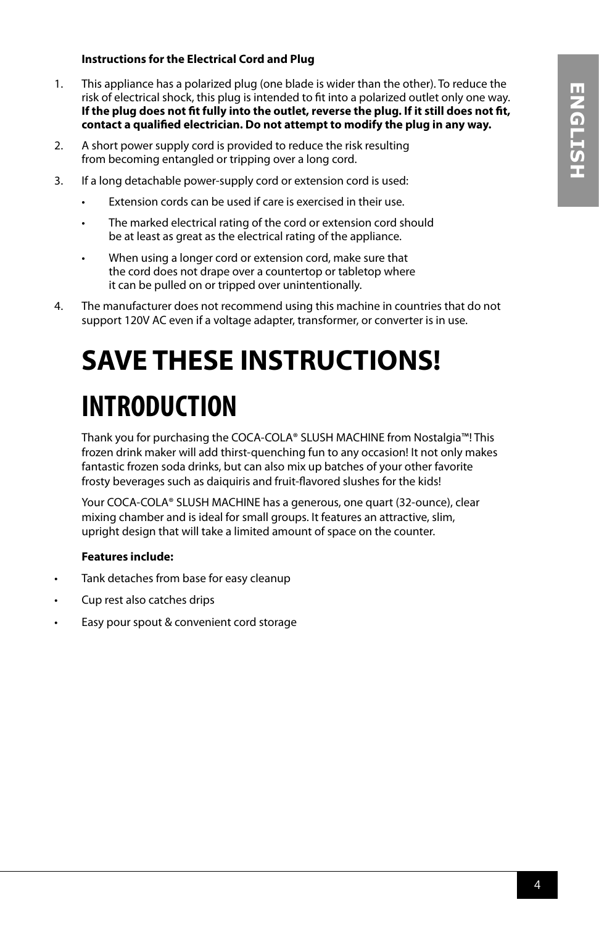### **Instructions for the Electrical Cord and Plug**

- 1. This appliance has a polarized plug (one blade is wider than the other). To reduce the risk of electrical shock, this plug is intended to fit into a polarized outlet only one way. **If the plug does not fit fully into the outlet, reverse the plug. If it still does not fit, contact a qualified electrician. Do not attempt to modify the plug in any way.**
- 2. A short power supply cord is provided to reduce the risk resulting from becoming entangled or tripping over a long cord.
- 3. If a long detachable power-supply cord or extension cord is used:
	- Extension cords can be used if care is exercised in their use.
	- The marked electrical rating of the cord or extension cord should be at least as great as the electrical rating of the appliance.
	- When using a longer cord or extension cord, make sure that the cord does not drape over a countertop or tabletop where it can be pulled on or tripped over unintentionally.
- 4. The manufacturer does not recommend using this machine in countries that do not support 120V AC even if a voltage adapter, transformer, or converter is in use.

## **SAVE THESE INSTRUCTIONS! INTRODUCTION**

Thank you for purchasing the COCA-COLA® SLUSH MACHINE from Nostalgia™! This frozen drink maker will add thirst-quenching fun to any occasion! It not only makes fantastic frozen soda drinks, but can also mix up batches of your other favorite frosty beverages such as daiquiris and fruit-flavored slushes for the kids!

Your COCA-COLA® SLUSH MACHINE has a generous, one quart (32-ounce), clear mixing chamber and is ideal for small groups. It features an attractive, slim, upright design that will take a limited amount of space on the counter.

#### **Features include:**

- Tank detaches from base for easy cleanup
- Cup rest also catches drips
- Easy pour spout & convenient cord storage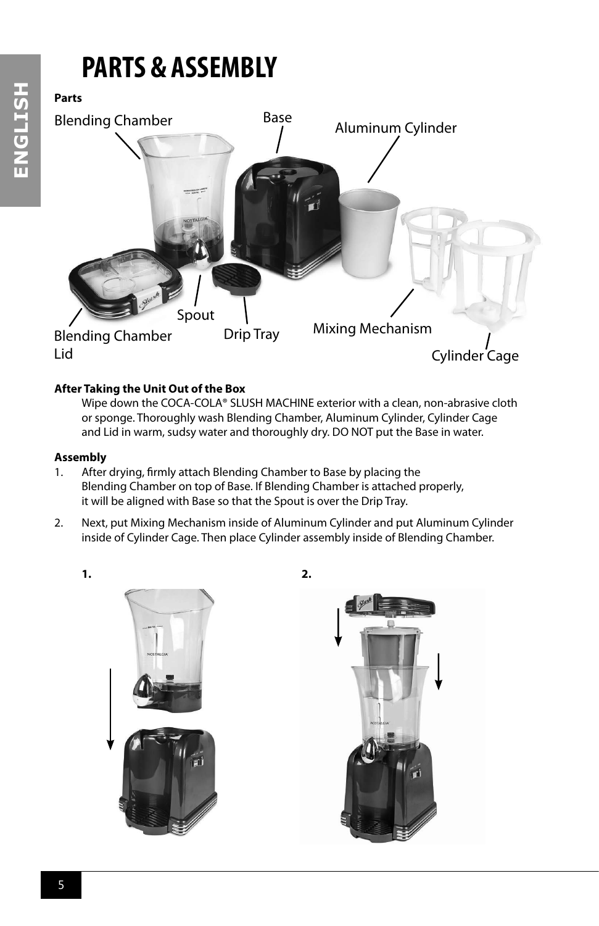## **PARTS & ASSEMBLY**

### **Parts**



### **After Taking the Unit Out of the Box**

Wipe down the COCA-COLA® SLUSH MACHINE exterior with a clean, non-abrasive cloth or sponge. Thoroughly wash Blending Chamber, Aluminum Cylinder, Cylinder Cage and Lid in warm, sudsy water and thoroughly dry. DO NOT put the Base in water.

### **Assembly**

- 1. After drying, firmly attach Blending Chamber to Base by placing the Blending Chamber on top of Base. If Blending Chamber is attached properly, it will be aligned with Base so that the Spout is over the Drip Tray.
- 2. Next, put Mixing Mechanism inside of Aluminum Cylinder and put Aluminum Cylinder inside of Cylinder Cage. Then place Cylinder assembly inside of Blending Chamber.

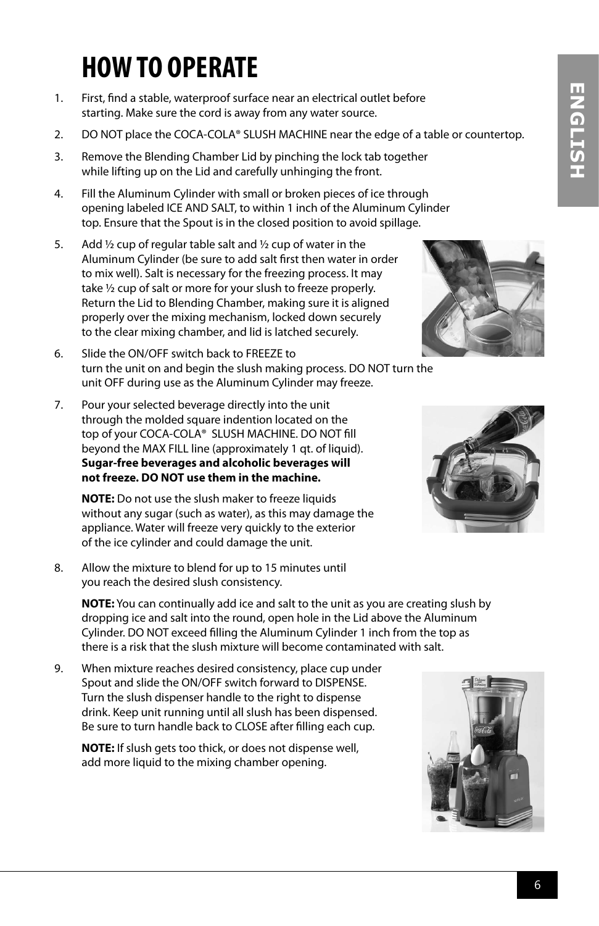## **HOW TO OPERATE**

- 1. First, find a stable, waterproof surface near an electrical outlet before starting. Make sure the cord is away from any water source.
- 2. DO NOT place the COCA-COLA® SLUSH MACHINE near the edge of a table or countertop.
- 3. Remove the Blending Chamber Lid by pinching the lock tab together while lifting up on the Lid and carefully unhinging the front.
- 4. Fill the Aluminum Cylinder with small or broken pieces of ice through opening labeled ICE AND SALT, to within 1 inch of the Aluminum Cylinder top. Ensure that the Spout is in the closed position to avoid spillage.
- 5. Add  $\frac{1}{2}$  cup of regular table salt and  $\frac{1}{2}$  cup of water in the Aluminum Cylinder (be sure to add salt first then water in order to mix well). Salt is necessary for the freezing process. It may take ½ cup of salt or more for your slush to freeze properly. Return the Lid to Blending Chamber, making sure it is aligned properly over the mixing mechanism, locked down securely to the clear mixing chamber, and lid is latched securely.
- 6. Slide the ON/OFF switch back to FREEZE to turn the unit on and begin the slush making process. DO NOT turn the unit OFF during use as the Aluminum Cylinder may freeze.
- 7. Pour your selected beverage directly into the unit through the molded square indention located on the top of your COCA-COLA® SLUSH MACHINE. DO NOT fill beyond the MAX FILL line (approximately 1 qt. of liquid). **Sugar-free beverages and alcoholic beverages will not freeze. DO NOT use them in the machine.**

**NOTE:** Do not use the slush maker to freeze liquids without any sugar (such as water), as this may damage the appliance. Water will freeze very quickly to the exterior of the ice cylinder and could damage the unit.

8. Allow the mixture to blend for up to 15 minutes until you reach the desired slush consistency.

**NOTE:** You can continually add ice and salt to the unit as you are creating slush by dropping ice and salt into the round, open hole in the Lid above the Aluminum Cylinder. DO NOT exceed filling the Aluminum Cylinder 1 inch from the top as there is a risk that the slush mixture will become contaminated with salt.

9. When mixture reaches desired consistency, place cup under Spout and slide the ON/OFF switch forward to DISPENSE. Turn the slush dispenser handle to the right to dispense drink. Keep unit running until all slush has been dispensed. Be sure to turn handle back to CLOSE after filling each cup.

**NOTE:** If slush gets too thick, or does not dispense well, add more liquid to the mixing chamber opening.





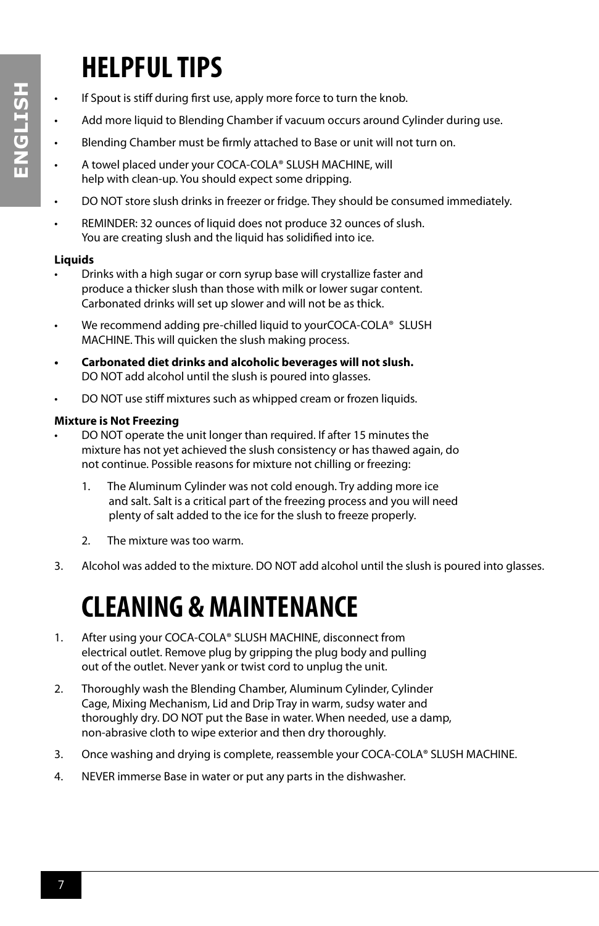## **HELPFUL TIPS**

- If Spout is stiff during first use, apply more force to turn the knob.
- Add more liquid to Blending Chamber if vacuum occurs around Cylinder during use.
- Blending Chamber must be firmly attached to Base or unit will not turn on.
- A towel placed under your COCA-COLA® SLUSH MACHINE, will help with clean-up. You should expect some dripping.
- DO NOT store slush drinks in freezer or fridge. They should be consumed immediately.
- REMINDER: 32 ounces of liquid does not produce 32 ounces of slush. You are creating slush and the liquid has solidified into ice.

### **Liquids**

- Drinks with a high sugar or corn syrup base will crystallize faster and produce a thicker slush than those with milk or lower sugar content. Carbonated drinks will set up slower and will not be as thick.
- We recommend adding pre-chilled liquid to yourCOCA-COLA® SLUSH MACHINE. This will quicken the slush making process.
- **• Carbonated diet drinks and alcoholic beverages will not slush.**  DO NOT add alcohol until the slush is poured into glasses.
- DO NOT use stiff mixtures such as whipped cream or frozen liquids.

### **Mixture is Not Freezing**

- DO NOT operate the unit longer than required. If after 15 minutes the mixture has not yet achieved the slush consistency or has thawed again, do not continue. Possible reasons for mixture not chilling or freezing:
	- 1. The Aluminum Cylinder was not cold enough. Try adding more ice and salt. Salt is a critical part of the freezing process and you will need plenty of salt added to the ice for the slush to freeze properly.
	- 2. The mixture was too warm.
- 3. Alcohol was added to the mixture. DO NOT add alcohol until the slush is poured into glasses.

### **CLEANING & MAINTENANCE**

- 1. After using your COCA-COLA® SLUSH MACHINE, disconnect from electrical outlet. Remove plug by gripping the plug body and pulling out of the outlet. Never yank or twist cord to unplug the unit.
- 2. Thoroughly wash the Blending Chamber, Aluminum Cylinder, Cylinder Cage, Mixing Mechanism, Lid and Drip Tray in warm, sudsy water and thoroughly dry. DO NOT put the Base in water. When needed, use a damp, non-abrasive cloth to wipe exterior and then dry thoroughly.
- 3. Once washing and drying is complete, reassemble your COCA-COLA® SLUSH MACHINE.
- 4. NEVER immerse Base in water or put any parts in the dishwasher.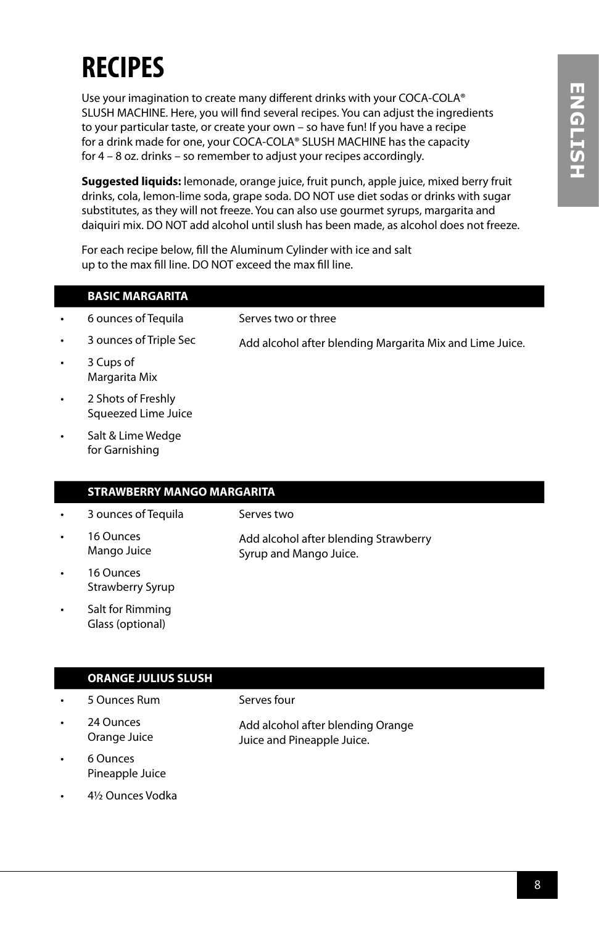## **RECIPES**

Use your imagination to create many different drinks with your COCA-COLA® SLUSH MACHINE. Here, you will find several recipes. You can adjust the ingredients to your particular taste, or create your own – so have fun! If you have a recipe for a drink made for one, your COCA-COLA® SLUSH MACHINE has the capacity for 4 – 8 oz. drinks – so remember to adjust your recipes accordingly.

**Suggested liquids:** lemonade, orange juice, fruit punch, apple juice, mixed berry fruit drinks, cola, lemon-lime soda, grape soda. DO NOT use diet sodas or drinks with sugar substitutes, as they will not freeze. You can also use gourmet syrups, margarita and daiquiri mix. DO NOT add alcohol until slush has been made, as alcohol does not freeze.

For each recipe below, fill the Aluminum Cylinder with ice and salt up to the max fill line. DO NOT exceed the max fill line.

|   | <b>BASIC MARGARITA</b>                    |                                                          |
|---|-------------------------------------------|----------------------------------------------------------|
| ۰ | 6 ounces of Tequila                       | Serves two or three                                      |
| ۰ | 3 ounces of Triple Sec                    | Add alcohol after blending Margarita Mix and Lime Juice. |
| ۰ | 3 Cups of<br>Margarita Mix                |                                                          |
| ۰ | 2 Shots of Freshly<br>Squeezed Lime Juice |                                                          |

Salt & Lime Wedge for Garnishing

### **STRAWBERRY MANGO MARGARITA**

- 3 ounces of Tequila
- 16 Ounces Mango Juice

Add alcohol after blending Strawberry Syrup and Mango Juice.

- 16 Ounces Strawberry Syrup
- Salt for Rimming Glass (optional)

### **ORANGE JULIUS SLUSH**

- 5 Ounces Rum
- 24 Ounces Orange Juice

Serves four

Serves two

- Add alcohol after blending Orange Juice and Pineapple Juice.
- 6 Ounces Pineapple Juice
- 4½ Ounces Vodka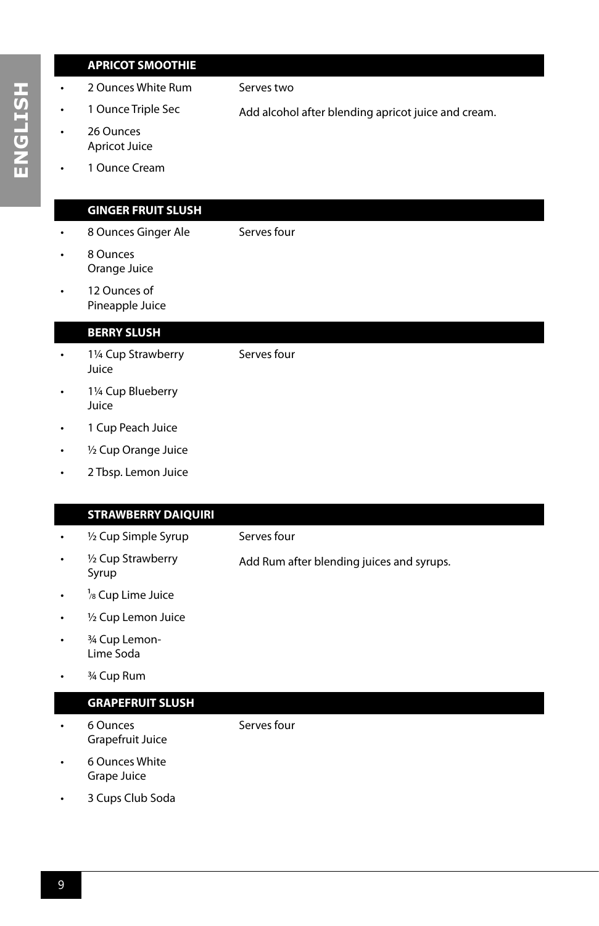### **APRICOT SMOOTHIE**

- 2 Ounces White Rum
- 1 Ounce Triple Sec 26 Ounces

Serves two

Serves four

Serves four

- Add alcohol after blending apricot juice and cream.
- Apricot Juice
- 1 Ounce Cream

### **GINGER FRUIT SLUSH**

- 8 Ounces Ginger Ale
- 8 Ounces Orange Juice
- 12 Ounces of Pineapple Juice

#### **BERRY SLUSH**

- 1¼ Cup Strawberry Juice
- 1¼ Cup Blueberry Juice
- 1 Cup Peach Juice
- ½ Cup Orange Juice
- 2 Tbsp. Lemon Juice

#### **STRAWBERRY DAIQUIRI**

- ½ Cup Simple Syrup
- <sup>1/2</sup> Cup Strawberry Syrup
- Serves four

Add Rum after blending juices and syrups.

- 
- $\frac{1}{8}$  Cup Lime Juice
- 1/2 Cup Lemon Juice
- <sup>3/4</sup> Cup Lemon-Lime Soda
- 3/4 Cup Rum

#### **GRAPEFRUIT SLUSH**

• 6 Ounces Grapefruit Juice Serves four

- 6 Ounces White Grape Juice
- 3 Cups Club Soda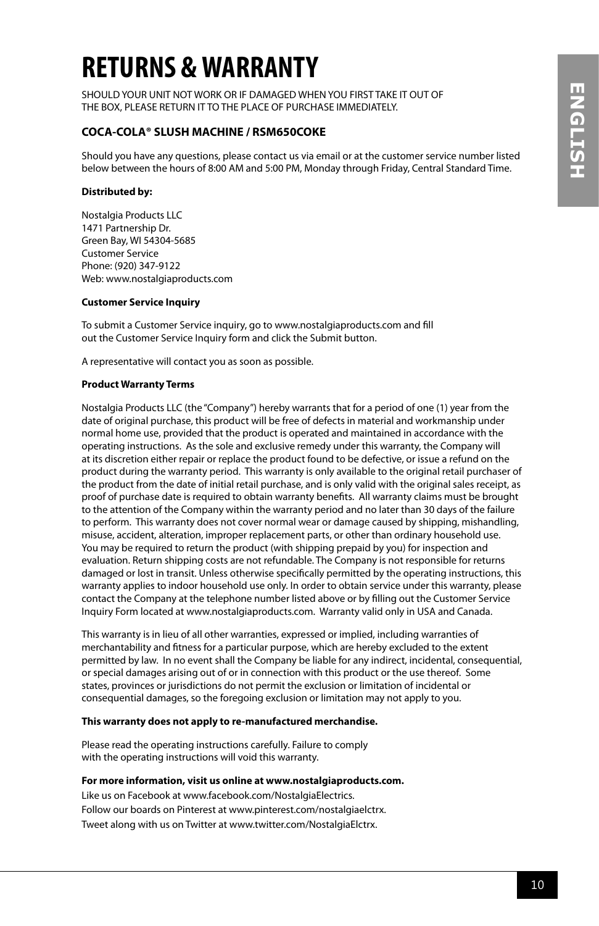## **RETURNS & WARRANTY**

SHOULD YOUR UNIT NOT WORK OR IF DAMAGED WHEN YOU FIRST TAKE IT OUT OF THE BOX, PLEASE RETURN IT TO THE PLACE OF PURCHASE IMMEDIATELY.

### **COCA-COLA® SLUSH MACHINE / RSM650COKE**

Should you have any questions, please contact us via email or at the customer service number listed below between the hours of 8:00 AM and 5:00 PM, Monday through Friday, Central Standard Time.

#### **Distributed by:**

Nostalgia Products LLC 1471 Partnership Dr. Green Bay, WI 54304-5685 Customer Service Phone: (920) 347-9122 Web: www.nostalgiaproducts.com

#### **Customer Service Inquiry**

To submit a Customer Service inquiry, go to www.nostalgiaproducts.com and fill out the Customer Service Inquiry form and click the Submit button.

A representative will contact you as soon as possible.

#### **Product Warranty Terms**

Nostalgia Products LLC (the "Company") hereby warrants that for a period of one (1) year from the date of original purchase, this product will be free of defects in material and workmanship under normal home use, provided that the product is operated and maintained in accordance with the operating instructions. As the sole and exclusive remedy under this warranty, the Company will at its discretion either repair or replace the product found to be defective, or issue a refund on the product during the warranty period. This warranty is only available to the original retail purchaser of the product from the date of initial retail purchase, and is only valid with the original sales receipt, as proof of purchase date is required to obtain warranty benefits. All warranty claims must be brought to the attention of the Company within the warranty period and no later than 30 days of the failure to perform. This warranty does not cover normal wear or damage caused by shipping, mishandling, misuse, accident, alteration, improper replacement parts, or other than ordinary household use. You may be required to return the product (with shipping prepaid by you) for inspection and evaluation. Return shipping costs are not refundable. The Company is not responsible for returns damaged or lost in transit. Unless otherwise specifically permitted by the operating instructions, this warranty applies to indoor household use only. In order to obtain service under this warranty, please contact the Company at the telephone number listed above or by filling out the Customer Service Inquiry Form located at www.nostalgiaproducts.com. Warranty valid only in USA and Canada.

This warranty is in lieu of all other warranties, expressed or implied, including warranties of merchantability and fitness for a particular purpose, which are hereby excluded to the extent permitted by law. In no event shall the Company be liable for any indirect, incidental, consequential, or special damages arising out of or in connection with this product or the use thereof. Some states, provinces or jurisdictions do not permit the exclusion or limitation of incidental or consequential damages, so the foregoing exclusion or limitation may not apply to you.

#### **This warranty does not apply to re-manufactured merchandise.**

Please read the operating instructions carefully. Failure to comply with the operating instructions will void this warranty.

#### **For more information, visit us online at www.nostalgiaproducts.com.**

Like us on Facebook at www.facebook.com/NostalgiaElectrics. Follow our boards on Pinterest at www.pinterest.com/nostalgiaelctrx. Tweet along with us on Twitter at www.twitter.com/NostalgiaElctrx.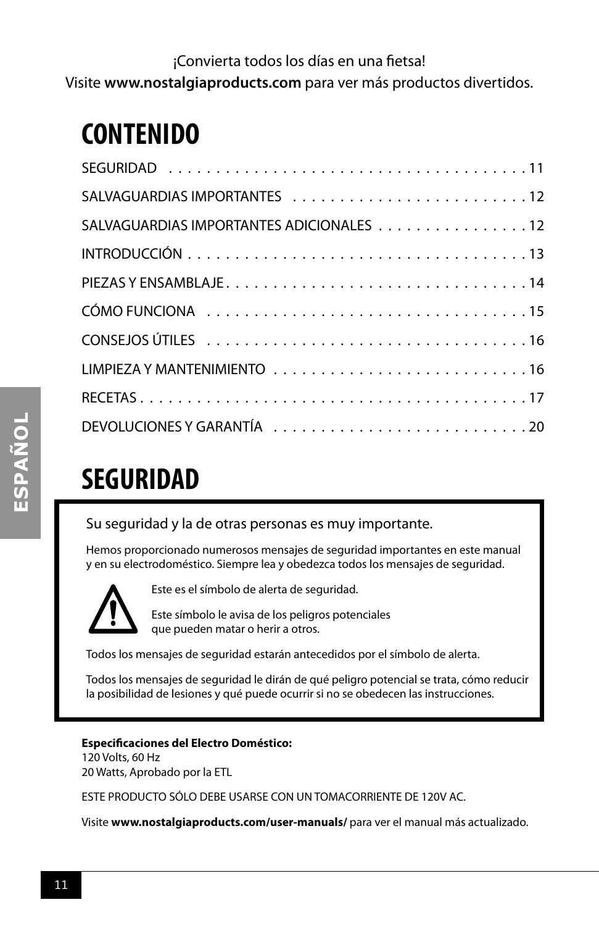¡Convierta todos los días en una fietsa! Visite **www.nostalgiaproducts.com** para ver más productos divertidos.

### **CONTENIDO**

| SALVAGUARDIAS IMPORTANTES ADICIONALES 12 |
|------------------------------------------|
|                                          |
|                                          |
|                                          |
|                                          |
|                                          |
|                                          |
|                                          |

## **SEGURIDAD**

Su seguridad y la de otras personas es muy importante.

Hemos proporcionado numerosos mensajes de seguridad importantes en este manual y en su electrodoméstico. Siempre lea y obedezca todos los mensajes de seguridad.



Este es el símbolo de alerta de seguridad.

Este símbolo le avisa de los peligros potenciales que pueden matar o herir a otros.

Todos los mensajes de seguridad estarán antecedidos por el símbolo de alerta.

Todos los mensajes de seguridad le dirán de qué peligro potencial se trata, cómo reducir la posibilidad de lesiones y qué puede ocurrir si no se obedecen las instrucciones.

### **Especificaciones del Electro Doméstico:**

120 Volts, 60 Hz 20 Watts, Aprobado por la ETL

ESTE PRODUCTO SÓLO DEBE USARSE CON UN TOMACORRIENTE DE 120V AC.

Visite **www.nostalgiaproducts.com/user-manuals/** para ver el manual más actualizado.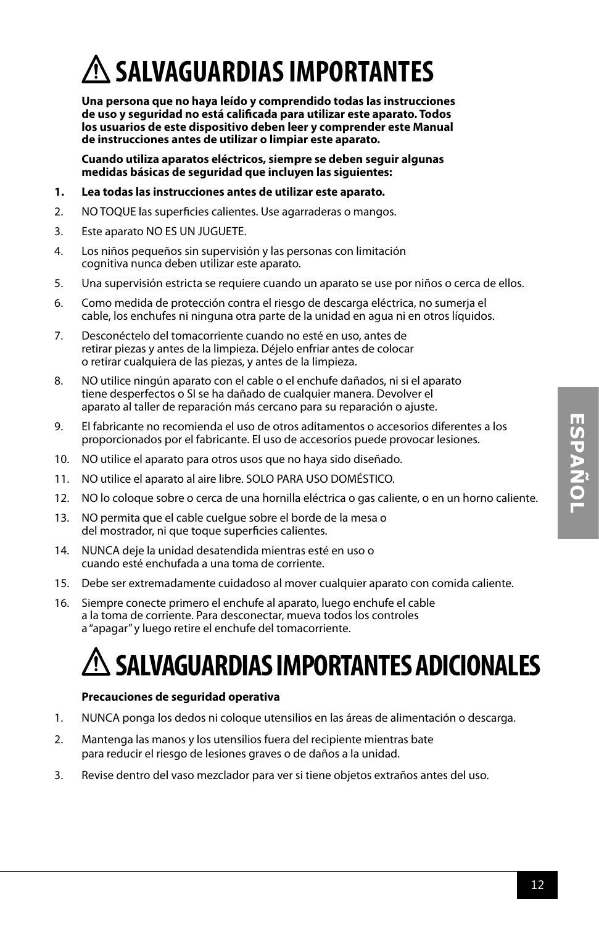## **SALVAGUARDIAS IMPORTANTES**

**Una persona que no haya leído y comprendido todas las instrucciones de uso y seguridad no está calificada para utilizar este aparato. Todos los usuarios de este dispositivo deben leer y comprender este Manual de instrucciones antes de utilizar o limpiar este aparato.**

**Cuando utiliza aparatos eléctricos, siempre se deben seguir algunas medidas básicas de seguridad que incluyen las siguientes:**

- **1. Lea todas las instrucciones antes de utilizar este aparato.**
- 2. NO TOQUE las superficies calientes. Use agarraderas o mangos.
- 3. Este aparato NO ES UN JUGUETE.
- 4. Los niños pequeños sin supervisión y las personas con limitación cognitiva nunca deben utilizar este aparato.
- 5. Una supervisión estricta se requiere cuando un aparato se use por niños o cerca de ellos.
- 6. Como medida de protección contra el riesgo de descarga eléctrica, no sumerja el cable, los enchufes ni ninguna otra parte de la unidad en agua ni en otros líquidos.
- 7. Desconéctelo del tomacorriente cuando no esté en uso, antes de retirar piezas y antes de la limpieza. Déjelo enfriar antes de colocar o retirar cualquiera de las piezas, y antes de la limpieza.
- 8. NO utilice ningún aparato con el cable o el enchufe dañados, ni si el aparato tiene desperfectos o SI se ha dañado de cualquier manera. Devolver el aparato al taller de reparación más cercano para su reparación o ajuste.
- 9. El fabricante no recomienda el uso de otros aditamentos o accesorios diferentes a los proporcionados por el fabricante. El uso de accesorios puede provocar lesiones.
- 10. NO utilice el aparato para otros usos que no haya sido diseñado.
- 11. NO utilice el aparato al aire libre. SOLO PARA USO DOMÉSTICO.
- 12. NO lo coloque sobre o cerca de una hornilla eléctrica o gas caliente, o en un horno caliente.
- 13. NO permita que el cable cuelgue sobre el borde de la mesa o del mostrador, ni que toque superficies calientes.
- 14. NUNCA deje la unidad desatendida mientras esté en uso o cuando esté enchufada a una toma de corriente.
- 15. Debe ser extremadamente cuidadoso al mover cualquier aparato con comida caliente.
- 16. Siempre conecte primero el enchufe al aparato, luego enchufe el cable a la toma de corriente. Para desconectar, mueva todos los controles a "apagar" y luego retire el enchufe del tomacorriente.

## **SALVAGUARDIAS IMPORTANTES ADICIONALES**

### **Precauciones de seguridad operativa**

- 1. NUNCA ponga los dedos ni coloque utensilios en las áreas de alimentación o descarga.
- 2. Mantenga las manos y los utensilios fuera del recipiente mientras bate para reducir el riesgo de lesiones graves o de daños a la unidad.
- 3. Revise dentro del vaso mezclador para ver si tiene objetos extraños antes del uso.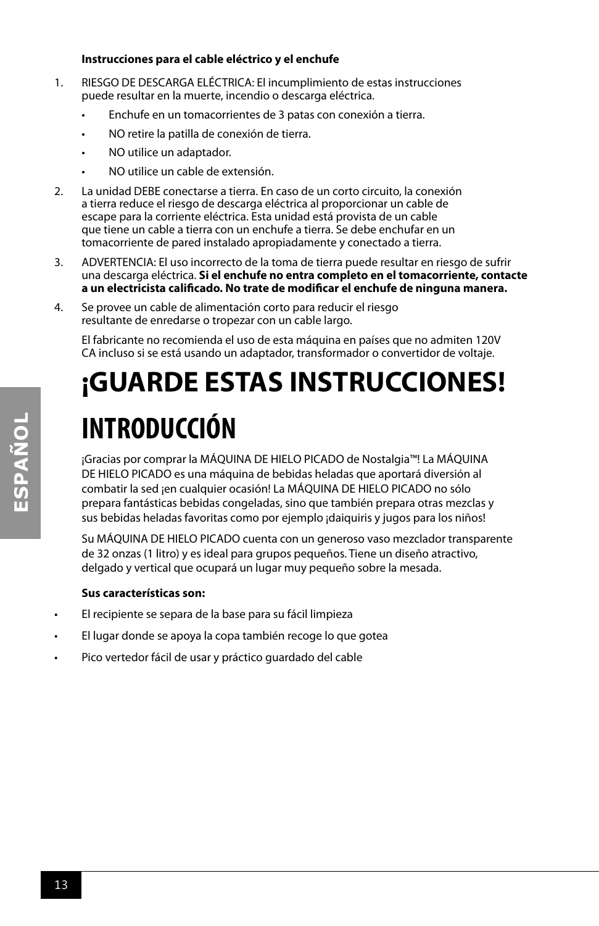#### **Instrucciones para el cable eléctrico y el enchufe**

- 1. RIESGO DE DESCARGA ELÉCTRICA: El incumplimiento de estas instrucciones puede resultar en la muerte, incendio o descarga eléctrica.
	- Enchufe en un tomacorrientes de 3 patas con conexión a tierra.
	- NO retire la patilla de conexión de tierra.
	- NO utilice un adaptador.
	- NO utilice un cable de extensión.
- 2. La unidad DEBE conectarse a tierra. En caso de un corto circuito, la conexión a tierra reduce el riesgo de descarga eléctrica al proporcionar un cable de escape para la corriente eléctrica. Esta unidad está provista de un cable que tiene un cable a tierra con un enchufe a tierra. Se debe enchufar en un tomacorriente de pared instalado apropiadamente y conectado a tierra.
- 3. ADVERTENCIA: El uso incorrecto de la toma de tierra puede resultar en riesgo de sufrir una descarga eléctrica. **Si el enchufe no entra completo en el tomacorriente, contacte a un electricista calificado. No trate de modificar el enchufe de ninguna manera.**
- 4. Se provee un cable de alimentación corto para reducir el riesgo resultante de enredarse o tropezar con un cable largo.

El fabricante no recomienda el uso de esta máquina en países que no admiten 120V CA incluso si se está usando un adaptador, transformador o convertidor de voltaje.

## **¡GUARDE ESTAS INSTRUCCIONES! INTRODUCCIÓN**

¡Gracias por comprar la MÁQUINA DE HIELO PICADO de Nostalgia™! La MÁQUINA DE HIELO PICADO es una máquina de bebidas heladas que aportará diversión al combatir la sed ¡en cualquier ocasión! La MÁQUINA DE HIELO PICADO no sólo prepara fantásticas bebidas congeladas, sino que también prepara otras mezclas y sus bebidas heladas favoritas como por ejemplo ¡daiquiris y jugos para los niños!

Su MÁQUINA DE HIELO PICADO cuenta con un generoso vaso mezclador transparente de 32 onzas (1 litro) y es ideal para grupos pequeños. Tiene un diseño atractivo, delgado y vertical que ocupará un lugar muy pequeño sobre la mesada.

### **Sus características son:**

- El recipiente se separa de la base para su fácil limpieza
- El lugar donde se apoya la copa también recoge lo que gotea
- Pico vertedor fácil de usar y práctico guardado del cable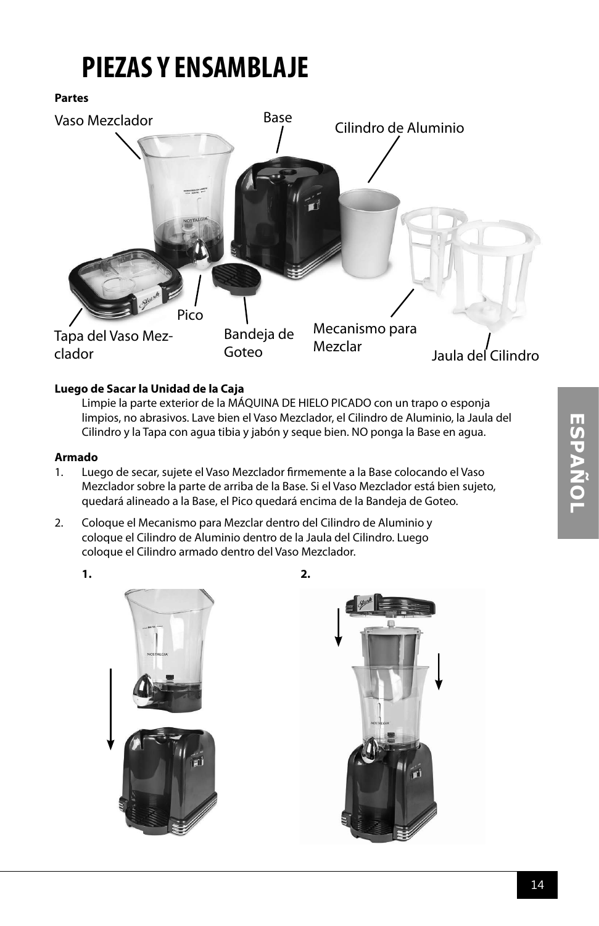## **PIEZAS Y ENSAMBLAJE**

**Partes**



### **Luego de Sacar la Unidad de la Caja**

Limpie la parte exterior de la MÁQUINA DE HIELO PICADO con un trapo o esponja limpios, no abrasivos. Lave bien el Vaso Mezclador, el Cilindro de Aluminio, la Jaula del Cilindro y la Tapa con agua tibia y jabón y seque bien. NO ponga la Base en agua.

#### **Armado**

- 1. Luego de secar, sujete el Vaso Mezclador firmemente a la Base colocando el Vaso Mezclador sobre la parte de arriba de la Base. Si el Vaso Mezclador está bien sujeto, quedará alineado a la Base, el Pico quedará encima de la Bandeja de Goteo.
- 2. Coloque el Mecanismo para Mezclar dentro del Cilindro de Aluminio y coloque el Cilindro de Aluminio dentro de la Jaula del Cilindro. Luego coloque el Cilindro armado dentro del Vaso Mezclador.





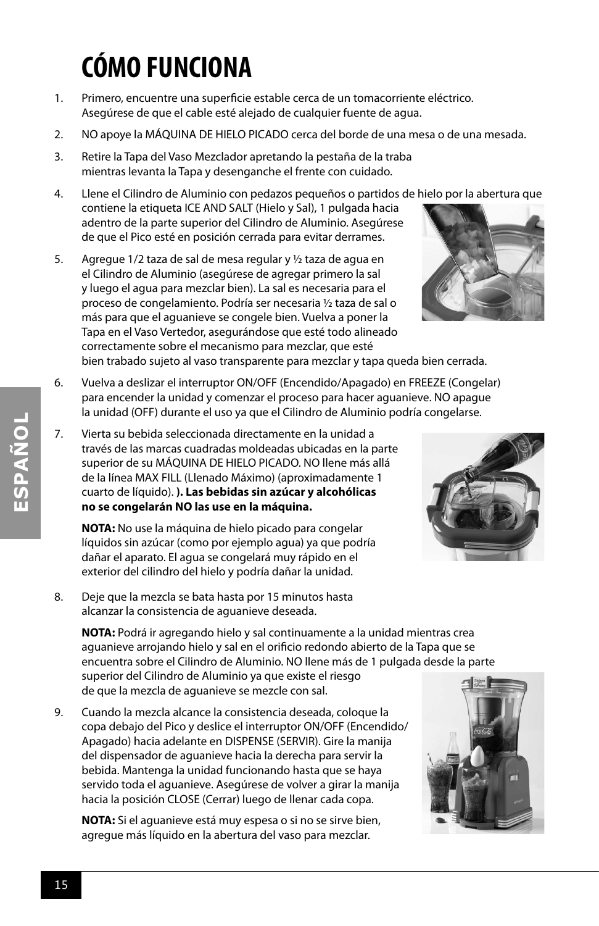## **CÓMO FUNCIONA**

- 1. Primero, encuentre una superficie estable cerca de un tomacorriente eléctrico. Asegúrese de que el cable esté alejado de cualquier fuente de agua.
- 2. NO apoye la MÁQUINA DE HIELO PICADO cerca del borde de una mesa o de una mesada.
- 3. Retire la Tapa del Vaso Mezclador apretando la pestaña de la traba mientras levanta la Tapa y desenganche el frente con cuidado.
- 4. Llene el Cilindro de Aluminio con pedazos pequeños o partidos de hielo por la abertura que contiene la etiqueta ICE AND SALT (Hielo y Sal), 1 pulgada hacia adentro de la parte superior del Cilindro de Aluminio. Asegúrese de que el Pico esté en posición cerrada para evitar derrames.
- 5. Agregue 1/2 taza de sal de mesa regular y ½ taza de agua en el Cilindro de Aluminio (asegúrese de agregar primero la sal y luego el agua para mezclar bien). La sal es necesaria para el proceso de congelamiento. Podría ser necesaria ½ taza de sal o más para que el aguanieve se congele bien. Vuelva a poner la Tapa en el Vaso Vertedor, asegurándose que esté todo alineado correctamente sobre el mecanismo para mezclar, que esté bien trabado sujeto al vaso transparente para mezclar y tapa queda bien cerrada.
- 6. Vuelva a deslizar el interruptor ON/OFF (Encendido/Apagado) en FREEZE (Congelar) para encender la unidad y comenzar el proceso para hacer aguanieve. NO apague la unidad (OFF) durante el uso ya que el Cilindro de Aluminio podría congelarse.
- 7. Vierta su bebida seleccionada directamente en la unidad a través de las marcas cuadradas moldeadas ubicadas en la parte superior de su MÁQUINA DE HIELO PICADO. NO llene más allá de la línea MAX FILL (Llenado Máximo) (aproximadamente 1 cuarto de líquido). **). Las bebidas sin azúcar y alcohólicas no se congelarán NO las use en la máquina.**

**NOTA:** No use la máquina de hielo picado para congelar líquidos sin azúcar (como por ejemplo agua) ya que podría dañar el aparato. El agua se congelará muy rápido en el exterior del cilindro del hielo y podría dañar la unidad.

8. Deje que la mezcla se bata hasta por 15 minutos hasta alcanzar la consistencia de aguanieve deseada.

**NOTA:** Podrá ir agregando hielo y sal continuamente a la unidad mientras crea aguanieve arrojando hielo y sal en el orificio redondo abierto de la Tapa que se encuentra sobre el Cilindro de Aluminio. NO llene más de 1 pulgada desde la parte superior del Cilindro de Aluminio ya que existe el riesgo de que la mezcla de aguanieve se mezcle con sal.

9. Cuando la mezcla alcance la consistencia deseada, coloque la copa debajo del Pico y deslice el interruptor ON/OFF (Encendido/ Apagado) hacia adelante en DISPENSE (SERVIR). Gire la manija del dispensador de aguanieve hacia la derecha para servir la bebida. Mantenga la unidad funcionando hasta que se haya servido toda el aguanieve. Asegúrese de volver a girar la manija hacia la posición CLOSE (Cerrar) luego de llenar cada copa.

**NOTA:** Si el aguanieve está muy espesa o si no se sirve bien, agregue más líquido en la abertura del vaso para mezclar.

**ESPAÑOL**





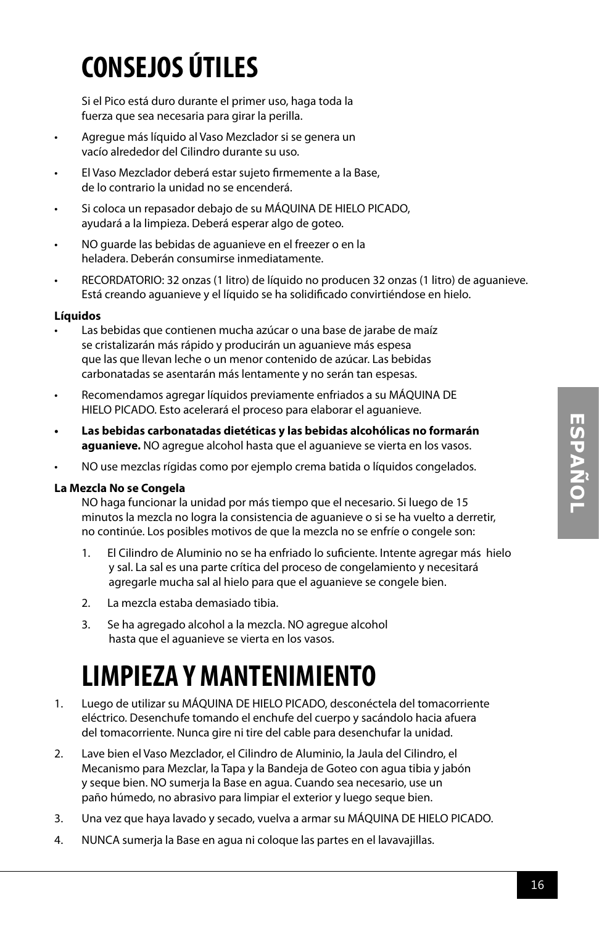## **CONSEJOS ÚTILES**

Si el Pico está duro durante el primer uso, haga toda la fuerza que sea necesaria para girar la perilla.

- Agregue más líquido al Vaso Mezclador si se genera un vacío alrededor del Cilindro durante su uso.
- El Vaso Mezclador deberá estar sujeto firmemente a la Base, de lo contrario la unidad no se encenderá.
- Si coloca un repasador debajo de su MÁQUINA DE HIELO PICADO, ayudará a la limpieza. Deberá esperar algo de goteo.
- NO guarde las bebidas de aguanieve en el freezer o en la heladera. Deberán consumirse inmediatamente.
- RECORDATORIO: 32 onzas (1 litro) de líquido no producen 32 onzas (1 litro) de aguanieve. Está creando aguanieve y el líquido se ha solidificado convirtiéndose en hielo.

### **Líquidos**

- Las bebidas que contienen mucha azúcar o una base de jarabe de maíz se cristalizarán más rápido y producirán un aguanieve más espesa que las que llevan leche o un menor contenido de azúcar. Las bebidas carbonatadas se asentarán más lentamente y no serán tan espesas.
- Recomendamos agregar líquidos previamente enfriados a su MÁQUINA DE HIELO PICADO. Esto acelerará el proceso para elaborar el aguanieve.
- **• Las bebidas carbonatadas dietéticas y las bebidas alcohólicas no formarán aguanieve.** NO agregue alcohol hasta que el aguanieve se vierta en los vasos.
- NO use mezclas rígidas como por ejemplo crema batida o líquidos congelados.

#### **La Mezcla No se Congela**

NO haga funcionar la unidad por más tiempo que el necesario. Si luego de 15 minutos la mezcla no logra la consistencia de aguanieve o si se ha vuelto a derretir, no continúe. Los posibles motivos de que la mezcla no se enfríe o congele son:

- 1. El Cilindro de Aluminio no se ha enfriado lo suficiente. Intente agregar más hielo y sal. La sal es una parte crítica del proceso de congelamiento y necesitará agregarle mucha sal al hielo para que el aguanieve se congele bien.
- 2. La mezcla estaba demasiado tibia.
- 3. Se ha agregado alcohol a la mezcla. NO agregue alcohol hasta que el aguanieve se vierta en los vasos.

## **LIMPIEZA Y MANTENIMIENTO**

- 1. Luego de utilizar su MÁQUINA DE HIELO PICADO, desconéctela del tomacorriente eléctrico. Desenchufe tomando el enchufe del cuerpo y sacándolo hacia afuera del tomacorriente. Nunca gire ni tire del cable para desenchufar la unidad.
- 2. Lave bien el Vaso Mezclador, el Cilindro de Aluminio, la Jaula del Cilindro, el Mecanismo para Mezclar, la Tapa y la Bandeja de Goteo con agua tibia y jabón y seque bien. NO sumerja la Base en agua. Cuando sea necesario, use un paño húmedo, no abrasivo para limpiar el exterior y luego seque bien.
- 3. Una vez que haya lavado y secado, vuelva a armar su MÁQUINA DE HIELO PICADO.
- 4. NUNCA sumerja la Base en agua ni coloque las partes en el lavavajillas.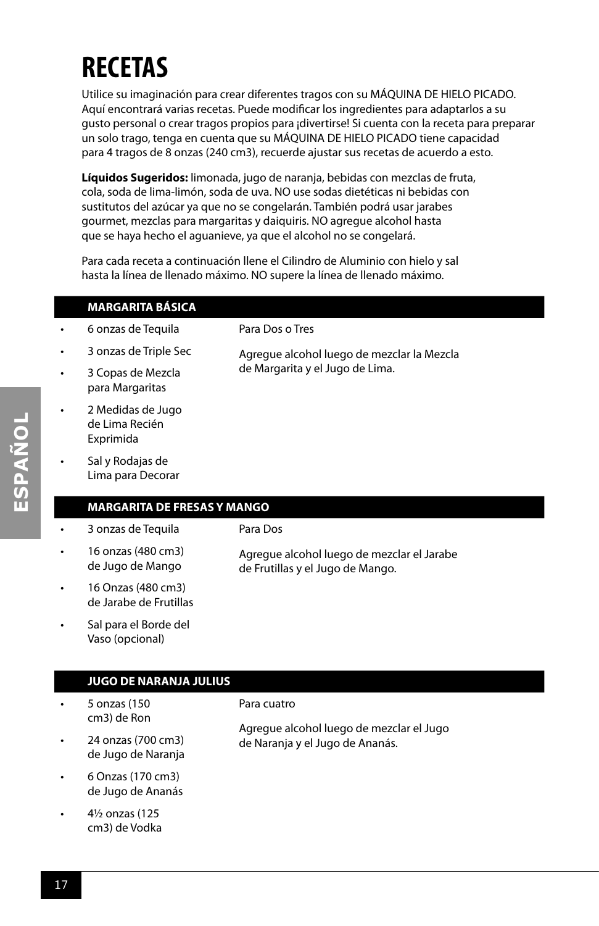## **RECETAS**

Utilice su imaginación para crear diferentes tragos con su MÁQUINA DE HIELO PICADO. Aquí encontrará varias recetas. Puede modificar los ingredientes para adaptarlos a su gusto personal o crear tragos propios para ¡divertirse! Si cuenta con la receta para preparar un solo trago, tenga en cuenta que su MÁQUINA DE HIELO PICADO tiene capacidad para 4 tragos de 8 onzas (240 cm3), recuerde ajustar sus recetas de acuerdo a esto.

**Líquidos Sugeridos:** limonada, jugo de naranja, bebidas con mezclas de fruta, cola, soda de lima-limón, soda de uva. NO use sodas dietéticas ni bebidas con sustitutos del azúcar ya que no se congelarán. También podrá usar jarabes gourmet, mezclas para margaritas y daiquiris. NO agregue alcohol hasta que se haya hecho el aguanieve, ya que el alcohol no se congelará.

Para cada receta a continuación llene el Cilindro de Aluminio con hielo y sal hasta la línea de llenado máximo. NO supere la línea de llenado máximo.

|   | <b>MARGARITA BÁSICA</b>                          |                                            |
|---|--------------------------------------------------|--------------------------------------------|
| ۰ | 6 onzas de Tequila                               | Para Dos o Tres                            |
| ۰ | 3 onzas de Triple Sec                            | Agregue alcohol luego de mezclar la Mezcla |
| ۰ | 3 Copas de Mezcla<br>para Margaritas             | de Margarita y el Jugo de Lima.            |
| ۰ | 2 Medidas de Jugo<br>de Lima Recién<br>Exprimida |                                            |
| ۰ | Sal y Rodajas de<br>Lima para Decorar            |                                            |

### **MARGARITA DE FRESAS Y MANGO**

• 16 onzas (480 cm3) de Jugo de Mango

• 3 onzas de Tequila

Para Dos

- 16 Onzas (480 cm3) de Jarabe de Frutillas
- Sal para el Borde del Vaso (opcional)

#### **JUGO DE NARANJA JULIUS**

- 5 onzas (150 cm3) de Ron
- 24 onzas (700 cm3) de Jugo de Naranja
- 6 Onzas (170 cm3) de Jugo de Ananás
- 4½ onzas (125 cm3) de Vodka

Para cuatro

Agregue alcohol luego de mezclar el Jugo de Naranja y el Jugo de Ananás.

Agregue alcohol luego de mezclar el Jarabe

de Frutillas y el Jugo de Mango.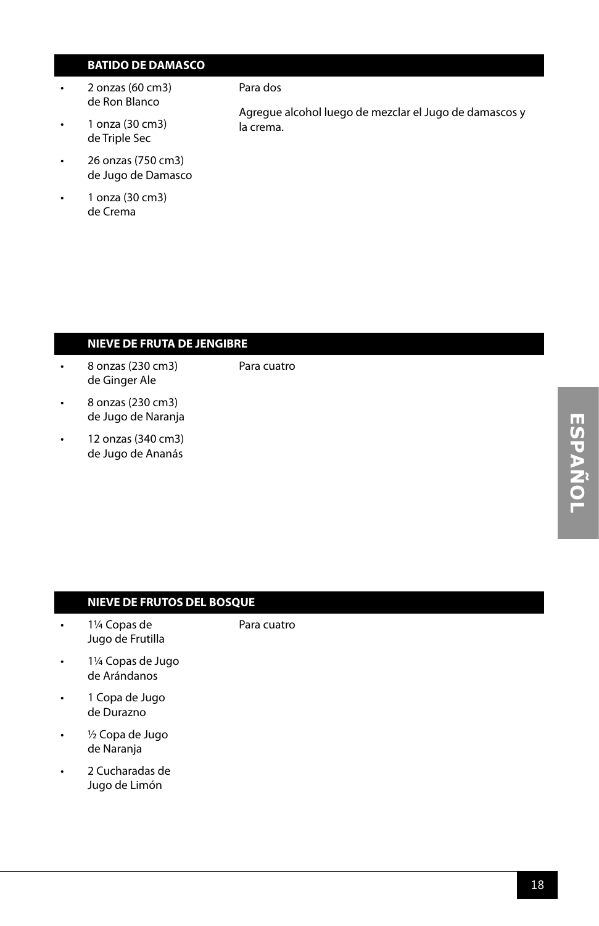### **BATIDO DE DAMASCO**

- 2 onzas (60 cm3) de Ron Blanco
- 1 onza (30 cm3) de Triple Sec
- 26 onzas (750 cm3) de Jugo de Damasco
- 1 onza (30 cm3) de Crema

#### Para dos

Agregue alcohol luego de mezclar el Jugo de damascos y la crema.

### **NIEVE DE FRUTA DE JENGIBRE**

- 8 onzas (230 cm3) de Ginger Ale
- Para cuatro
- 8 onzas (230 cm3) de Jugo de Naranja
- 12 onzas (340 cm3) de Jugo de Ananás

#### **NIEVE DE FRUTOS DEL BOSQUE**

• 1¼ Copas de Jugo de Frutilla

#### Para cuatro

- 1¼ Copas de Jugo de Arándanos
- 1 Copa de Jugo de Durazno
- ½ Copa de Jugo de Naranja
- 2 Cucharadas de Jugo de Limón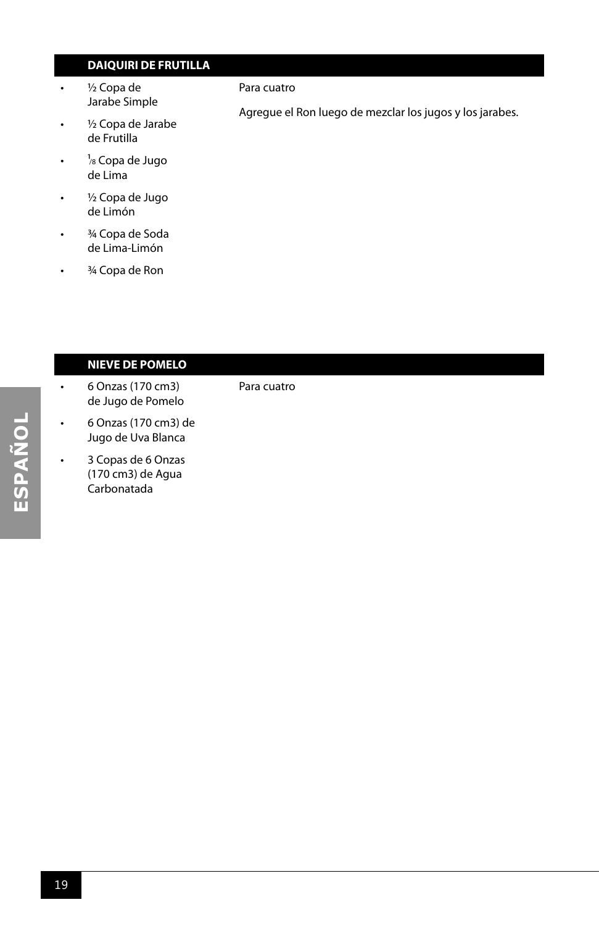### **DAIQUIRI DE FRUTILLA**

• ½ Copa de Jarabe Simple

#### Para cuatro

Para cuatro

Agregue el Ron luego de mezclar los jugos y los jarabes.

- ½ Copa de Jarabe de Frutilla
- <sup>1</sup>/8 Copa de Jugo de Lima
- ½ Copa de Jugo de Limón
- 3/4 Copa de Soda de Lima-Limón
- 3/4 Copa de Ron

### **NIEVE DE POMELO**

- 6 Onzas (170 cm3) de Jugo de Pomelo
- 6 Onzas (170 cm3) de Jugo de Uva Blanca
- 3 Copas de 6 Onzas (170 cm3) de Agua Carbonatada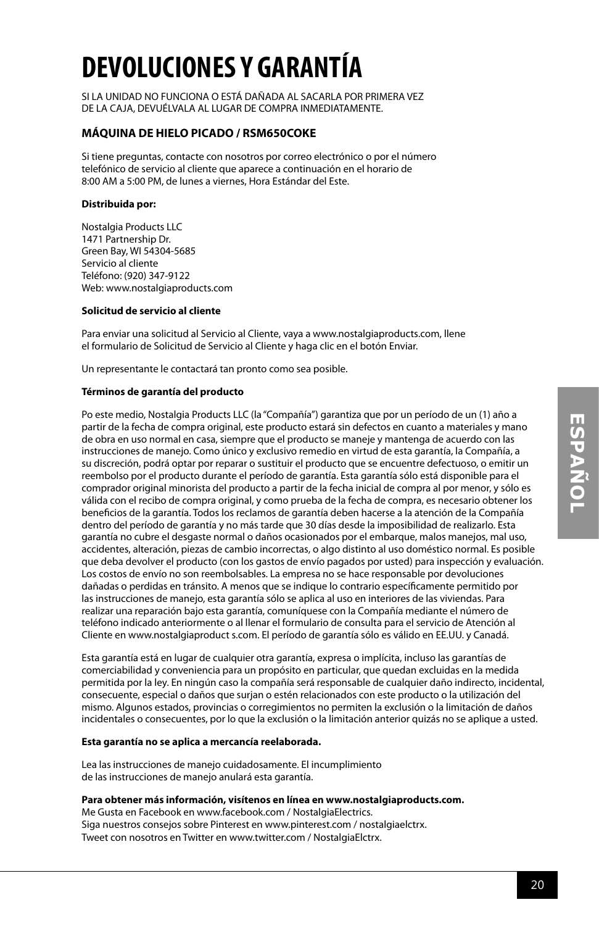## **DEVOLUCIONES Y GARANTÍA**

SI LA UNIDAD NO FUNCIONA O ESTÁ DAÑADA AL SACARLA POR PRIMERA VEZ DE LA CAJA, DEVUÉLVALA AL LUGAR DE COMPRA INMEDIATAMENTE.

#### **MÁQUINA DE HIELO PICADO / RSM650COKE**

Si tiene preguntas, contacte con nosotros por correo electrónico o por el número telefónico de servicio al cliente que aparece a continuación en el horario de 8:00 AM a 5:00 PM, de lunes a viernes, Hora Estándar del Este.

#### **Distribuida por:**

Nostalgia Products LLC 1471 Partnership Dr. Green Bay, WI 54304-5685 Servicio al cliente Teléfono: (920) 347-9122 Web: www.nostalgiaproducts.com

#### **Solicitud de servicio al cliente**

Para enviar una solicitud al Servicio al Cliente, vaya a www.nostalgiaproducts.com, llene el formulario de Solicitud de Servicio al Cliente y haga clic en el botón Enviar.

Un representante le contactará tan pronto como sea posible.

#### **Términos de garantía del producto**

Po este medio, Nostalgia Products LLC (la "Compañía") garantiza que por un período de un (1) año a partir de la fecha de compra original, este producto estará sin defectos en cuanto a materiales y mano de obra en uso normal en casa, siempre que el producto se maneje y mantenga de acuerdo con las instrucciones de manejo. Como único y exclusivo remedio en virtud de esta garantía, la Compañía, a su discreción, podrá optar por reparar o sustituir el producto que se encuentre defectuoso, o emitir un reembolso por el producto durante el período de garantía. Esta garantía sólo está disponible para el comprador original minorista del producto a partir de la fecha inicial de compra al por menor, y sólo es válida con el recibo de compra original, y como prueba de la fecha de compra, es necesario obtener los beneficios de la garantía. Todos los reclamos de garantía deben hacerse a la atención de la Compañía dentro del período de garantía y no más tarde que 30 días desde la imposibilidad de realizarlo. Esta garantía no cubre el desgaste normal o daños ocasionados por el embarque, malos manejos, mal uso, accidentes, alteración, piezas de cambio incorrectas, o algo distinto al uso doméstico normal. Es posible que deba devolver el producto (con los gastos de envío pagados por usted) para inspección y evaluación. Los costos de envío no son reembolsables. La empresa no se hace responsable por devoluciones dañadas o perdidas en tránsito. A menos que se indique lo contrario específicamente permitido por las instrucciones de manejo, esta garantía sólo se aplica al uso en interiores de las viviendas. Para realizar una reparación bajo esta garantía, comuníquese con la Compañía mediante el número de teléfono indicado anteriormente o al llenar el formulario de consulta para el servicio de Atención al Cliente en www.nostalgiaproduct s.com. El período de garantía sólo es válido en EE.UU. y Canadá.

Esta garantía está en lugar de cualquier otra garantía, expresa o implícita, incluso las garantías de comerciabilidad y conveniencia para un propósito en particular, que quedan excluidas en la medida permitida por la ley. En ningún caso la compañía será responsable de cualquier daño indirecto, incidental, consecuente, especial o daños que surjan o estén relacionados con este producto o la utilización del mismo. Algunos estados, provincias o corregimientos no permiten la exclusión o la limitación de daños incidentales o consecuentes, por lo que la exclusión o la limitación anterior quizás no se aplique a usted.

#### **Esta garantía no se aplica a mercancía reelaborada.**

Lea las instrucciones de manejo cuidadosamente. El incumplimiento de las instrucciones de manejo anulará esta garantía.

#### **Para obtener más información, visítenos en línea en www.nostalgiaproducts.com.**

Me Gusta en Facebook en www.facebook.com / NostalgiaElectrics. Siga nuestros consejos sobre Pinterest en www.pinterest.com / nostalgiaelctrx. Tweet con nosotros en Twitter en www.twitter.com / NostalgiaElctrx.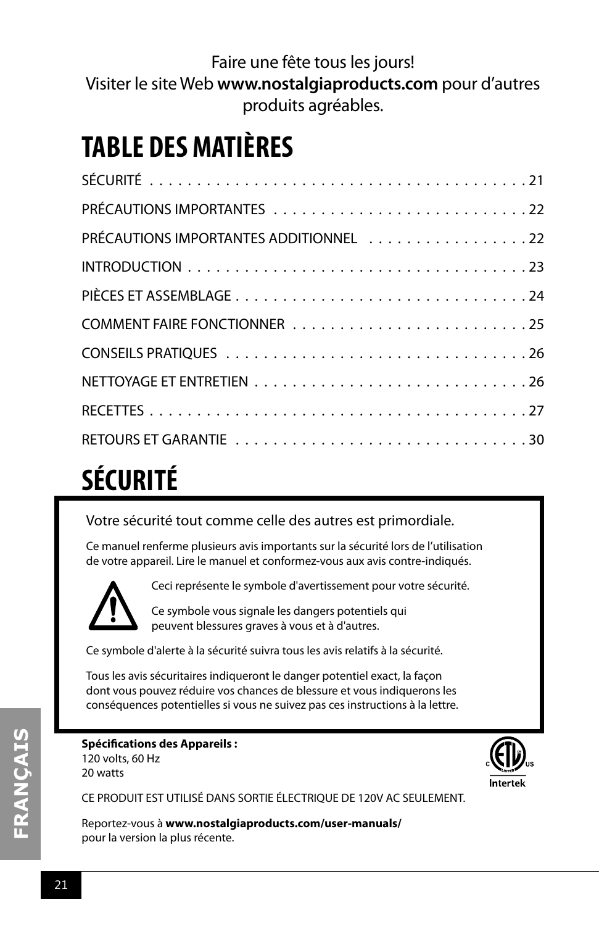Faire une fête tous les jours! Visiter le site Web **www.nostalgiaproducts.com** pour d'autres produits agréables.

## **TABLE DES MATIÈRES**

| PRÉCAUTIONS IMPORTANTES ADDITIONNEL 22 |
|----------------------------------------|
|                                        |
|                                        |
|                                        |
|                                        |
|                                        |
|                                        |
|                                        |

## **SÉCURITÉ**

Votre sécurité tout comme celle des autres est primordiale.

Ce manuel renferme plusieurs avis importants sur la sécurité lors de l'utilisation de votre appareil. Lire le manuel et conformez-vous aux avis contre-indiqués.



Ceci représente le symbole d'avertissement pour votre sécurité.

Ce symbole vous signale les dangers potentiels qui peuvent blessures graves à vous et à d'autres.

Ce symbole d'alerte à la sécurité suivra tous les avis relatifs à la sécurité.

Tous les avis sécuritaires indiqueront le danger potentiel exact, la façon dont vous pouvez réduire vos chances de blessure et vous indiquerons les conséquences potentielles si vous ne suivez pas ces instructions à la lettre.

### **Spécifications des Appareils :** 120 volts, 60 Hz

20 watts



CE PRODUIT EST UTILISÉ DANS SORTIE ÉLECTRIQUE DE 120V AC SEULEMENT.

Reportez-vous à **www.nostalgiaproducts.com/user-manuals/**  pour la version la plus récente.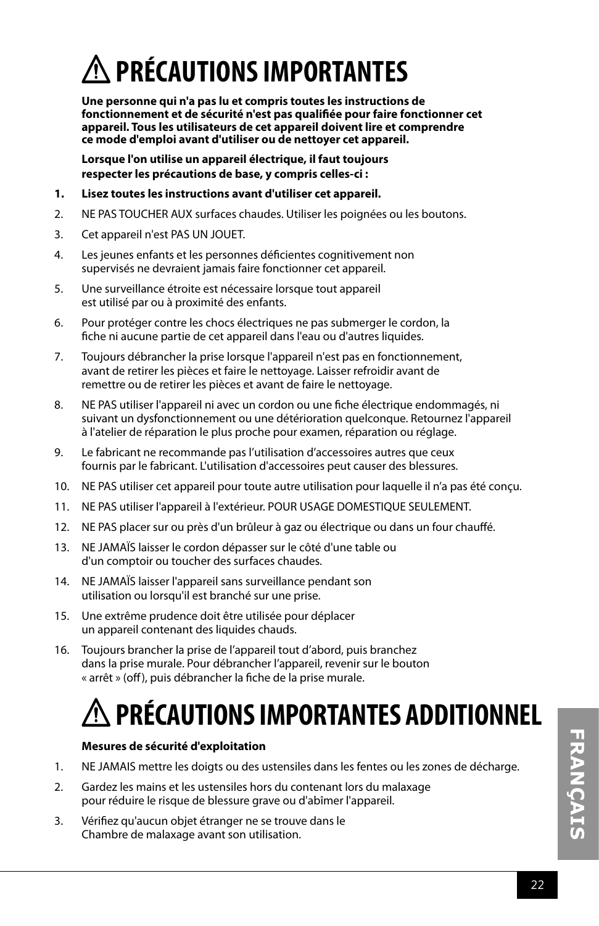## **PRÉCAUTIONS IMPORTANTES**

**Une personne qui n'a pas lu et compris toutes les instructions de fonctionnement et de sécurité n'est pas qualifiée pour faire fonctionner cet appareil. Tous les utilisateurs de cet appareil doivent lire et comprendre ce mode d'emploi avant d'utiliser ou de nettoyer cet appareil.**

**Lorsque l'on utilise un appareil électrique, il faut toujours respecter les précautions de base, y compris celles-ci :**

- **1. Lisez toutes les instructions avant d'utiliser cet appareil.**
- 2. NE PAS TOUCHER AUX surfaces chaudes. Utiliser les poignées ou les boutons.
- 3. Cet appareil n'est PAS UN JOUET.
- 4. Les jeunes enfants et les personnes déficientes cognitivement non supervisés ne devraient jamais faire fonctionner cet appareil.
- 5. Une surveillance étroite est nécessaire lorsque tout appareil est utilisé par ou à proximité des enfants.
- 6. Pour protéger contre les chocs électriques ne pas submerger le cordon, la fiche ni aucune partie de cet appareil dans l'eau ou d'autres liquides.
- 7. Toujours débrancher la prise lorsque l'appareil n'est pas en fonctionnement, avant de retirer les pièces et faire le nettoyage. Laisser refroidir avant de remettre ou de retirer les pièces et avant de faire le nettoyage.
- 8. NE PAS utiliser l'appareil ni avec un cordon ou une fiche électrique endommagés, ni suivant un dysfonctionnement ou une détérioration quelconque. Retournez l'appareil à l'atelier de réparation le plus proche pour examen, réparation ou réglage.
- 9. Le fabricant ne recommande pas l'utilisation d'accessoires autres que ceux fournis par le fabricant. L'utilisation d'accessoires peut causer des blessures.
- 10. NE PAS utiliser cet appareil pour toute autre utilisation pour laquelle il n'a pas été conçu.
- 11. NE PAS utiliser l'appareil à l'extérieur. POUR USAGE DOMESTIQUE SEULEMENT.
- 12. NE PAS placer sur ou près d'un brûleur à gaz ou électrique ou dans un four chauffé.
- 13. NE JAMAÏS laisser le cordon dépasser sur le côté d'une table ou d'un comptoir ou toucher des surfaces chaudes.
- 14. NE JAMAÏS laisser l'appareil sans surveillance pendant son utilisation ou lorsqu'il est branché sur une prise.
- 15. Une extrême prudence doit être utilisée pour déplacer un appareil contenant des liquides chauds.
- 16. Toujours brancher la prise de l'appareil tout d'abord, puis branchez dans la prise murale. Pour débrancher l'appareil, revenir sur le bouton « arrêt » (off), puis débrancher la fiche de la prise murale.

## **PRÉCAUTIONS IMPORTANTES ADDITIONNEL**

### **Mesures de sécurité d'exploitation**

- 1. NE JAMAIS mettre les doigts ou des ustensiles dans les fentes ou les zones de décharge.
- 2. Gardez les mains et les ustensiles hors du contenant lors du malaxage pour réduire le risque de blessure grave ou d'abîmer l'appareil.
- 3. Vérifiez qu'aucun objet étranger ne se trouve dans le Chambre de malaxage avant son utilisation.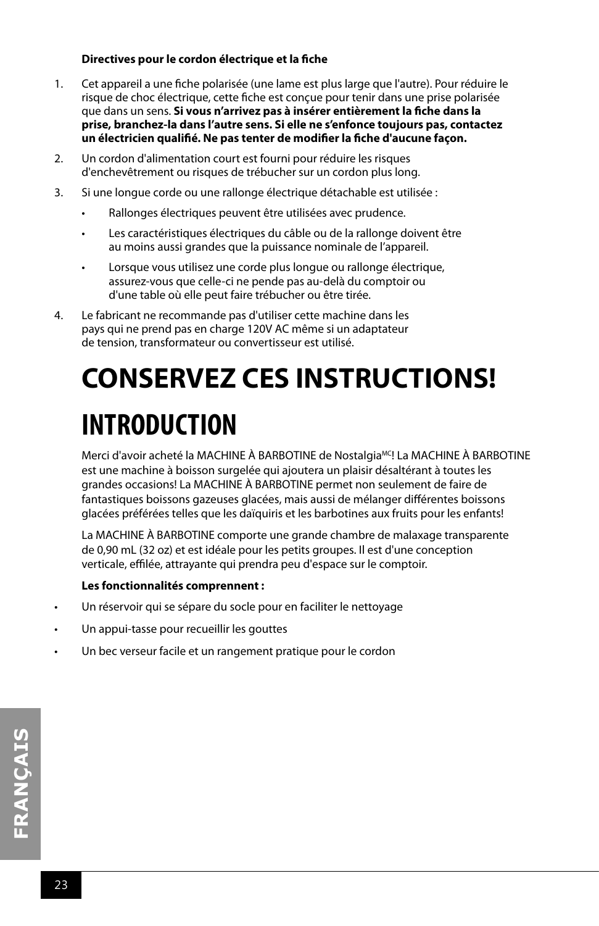#### **Directives pour le cordon électrique et la fiche**

- 1. Cet appareil a une fiche polarisée (une lame est plus large que l'autre). Pour réduire le risque de choc électrique, cette fiche est conçue pour tenir dans une prise polarisée que dans un sens. **Si vous n'arrivez pas à insérer entièrement la fiche dans la prise, branchez-la dans l'autre sens. Si elle ne s'enfonce toujours pas, contactez un électricien qualifié. Ne pas tenter de modifier la fiche d'aucune façon.**
- 2. Un cordon d'alimentation court est fourni pour réduire les risques d'enchevêtrement ou risques de trébucher sur un cordon plus long.
- 3. Si une longue corde ou une rallonge électrique détachable est utilisée :
	- Rallonges électriques peuvent être utilisées avec prudence.
	- Les caractéristiques électriques du câble ou de la rallonge doivent être au moins aussi grandes que la puissance nominale de l'appareil.
	- Lorsque vous utilisez une corde plus longue ou rallonge électrique, assurez-vous que celle-ci ne pende pas au-delà du comptoir ou d'une table où elle peut faire trébucher ou être tirée.
- 4. Le fabricant ne recommande pas d'utiliser cette machine dans les pays qui ne prend pas en charge 120V AC même si un adaptateur de tension, transformateur ou convertisseur est utilisé.

## **CONSERVEZ CES INSTRUCTIONS! INTRODUCTION**

Merci d'avoir acheté la MACHINE À BARBOTINE de Nostalgia<sup>MC</sup>! La MACHINE À BARBOTINE est une machine à boisson surgelée qui ajoutera un plaisir désaltérant à toutes les grandes occasions! La MACHINE À BARBOTINE permet non seulement de faire de fantastiques boissons gazeuses glacées, mais aussi de mélanger différentes boissons glacées préférées telles que les daïquiris et les barbotines aux fruits pour les enfants!

La MACHINE À BARBOTINE comporte une grande chambre de malaxage transparente de 0,90 mL (32 oz) et est idéale pour les petits groupes. Il est d'une conception verticale, effilée, attrayante qui prendra peu d'espace sur le comptoir.

### **Les fonctionnalités comprennent :**

- Un réservoir qui se sépare du socle pour en faciliter le nettoyage
- Un appui-tasse pour recueillir les gouttes
- Un bec verseur facile et un rangement pratique pour le cordon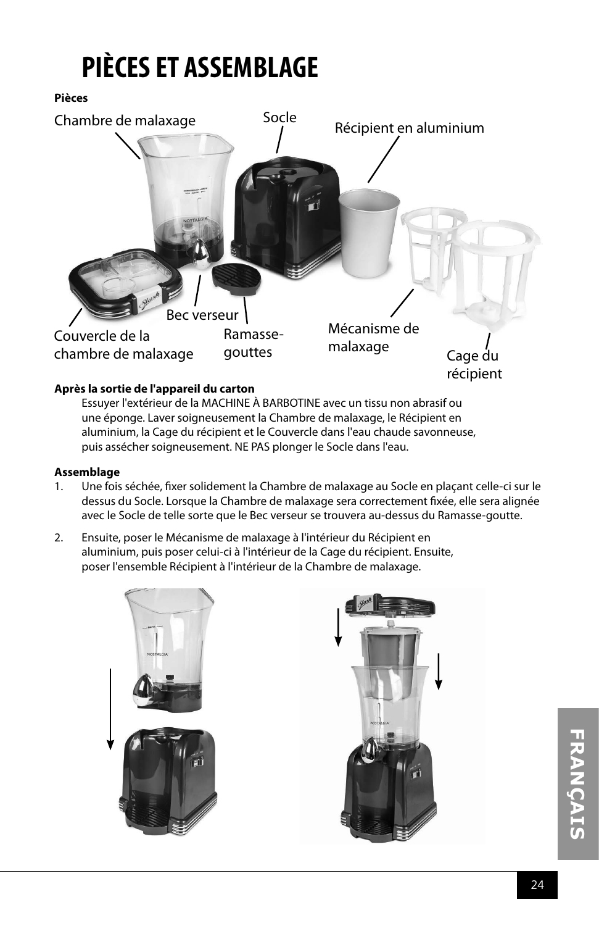## **PIÈCES ET ASSEMBLAGE**

**Pièces**



### **Après la sortie de l'appareil du carton**

Essuyer l'extérieur de la MACHINE À BARBOTINE avec un tissu non abrasif ou une éponge. Laver soigneusement la Chambre de malaxage, le Récipient en aluminium, la Cage du récipient et le Couvercle dans l'eau chaude savonneuse, puis assécher soigneusement. NE PAS plonger le Socle dans l'eau.

#### **Assemblage**

- 1. Une fois séchée, fixer solidement la Chambre de malaxage au Socle en plaçant celle-ci sur le dessus du Socle. Lorsque la Chambre de malaxage sera correctement fixée, elle sera alignée avec le Socle de telle sorte que le Bec verseur se trouvera au-dessus du Ramasse-goutte.
- 2. Ensuite, poser le Mécanisme de malaxage à l'intérieur du Récipient en aluminium, puis poser celui-ci à l'intérieur de la Cage du récipient. Ensuite, poser l'ensemble Récipient à l'intérieur de la Chambre de malaxage.

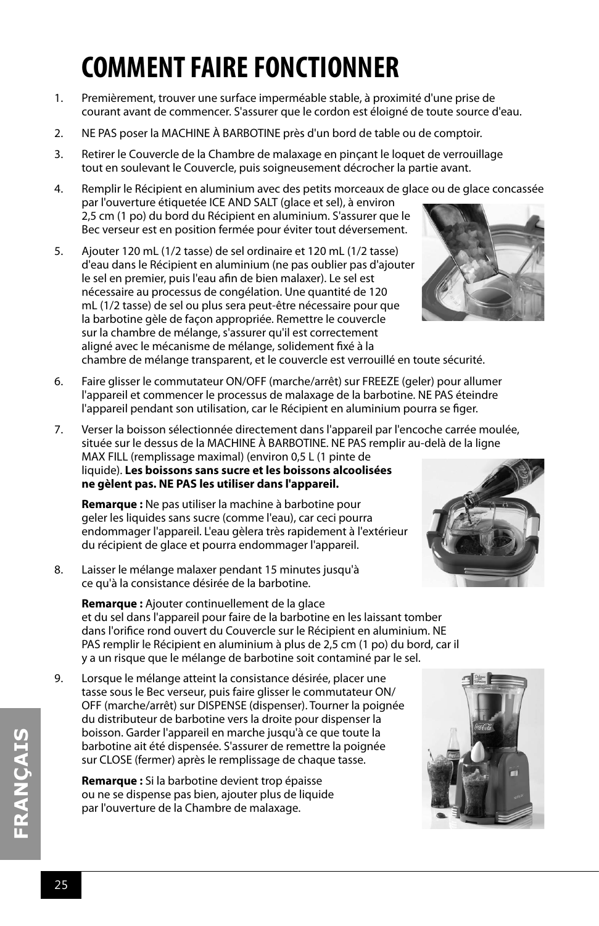## **COMMENT FAIRE FONCTIONNER**

- 1. Premièrement, trouver une surface imperméable stable, à proximité d'une prise de courant avant de commencer. S'assurer que le cordon est éloigné de toute source d'eau.
- 2. NE PAS poser la MACHINE À BARBOTINE près d'un bord de table ou de comptoir.
- 3. Retirer le Couvercle de la Chambre de malaxage en pinçant le loquet de verrouillage tout en soulevant le Couvercle, puis soigneusement décrocher la partie avant.
- 4. Remplir le Récipient en aluminium avec des petits morceaux de glace ou de glace concassée par l'ouverture étiquetée ICE AND SALT (glace et sel), à environ 2,5 cm (1 po) du bord du Récipient en aluminium. S'assurer que le Bec verseur est en position fermée pour éviter tout déversement.
- 5. Ajouter 120 mL (1/2 tasse) de sel ordinaire et 120 mL (1/2 tasse) d'eau dans le Récipient en aluminium (ne pas oublier pas d'ajouter le sel en premier, puis l'eau afin de bien malaxer). Le sel est nécessaire au processus de congélation. Une quantité de 120 mL (1/2 tasse) de sel ou plus sera peut-être nécessaire pour que la barbotine gèle de façon appropriée. Remettre le couvercle sur la chambre de mélange, s'assurer qu'il est correctement aligné avec le mécanisme de mélange, solidement fixé à la chambre de mélange transparent, et le couvercle est verrouillé en toute sécurité.



- 6. Faire glisser le commutateur ON/OFF (marche/arrêt) sur FREEZE (geler) pour allumer l'appareil et commencer le processus de malaxage de la barbotine. NE PAS éteindre l'appareil pendant son utilisation, car le Récipient en aluminium pourra se figer.
- 7. Verser la boisson sélectionnée directement dans l'appareil par l'encoche carrée moulée, située sur le dessus de la MACHINE À BARBOTINE. NE PAS remplir au-delà de la ligne MAX FILL (remplissage maximal) (environ 0,5 L (1 pinte de liquide). **Les boissons sans sucre et les boissons alcoolisées ne gèlent pas. NE PAS les utiliser dans l'appareil.**

**Remarque :** Ne pas utiliser la machine à barbotine pour geler les liquides sans sucre (comme l'eau), car ceci pourra endommager l'appareil. L'eau gèlera très rapidement à l'extérieur du récipient de glace et pourra endommager l'appareil.

8. Laisser le mélange malaxer pendant 15 minutes jusqu'à ce qu'à la consistance désirée de la barbotine.

**Remarque :** Ajouter continuellement de la glace et du sel dans l'appareil pour faire de la barbotine en les laissant tomber dans l'orifice rond ouvert du Couvercle sur le Récipient en aluminium. NE PAS remplir le Récipient en aluminium à plus de 2,5 cm (1 po) du bord, car il y a un risque que le mélange de barbotine soit contaminé par le sel.

9. Lorsque le mélange atteint la consistance désirée, placer une tasse sous le Bec verseur, puis faire glisser le commutateur ON/ OFF (marche/arrêt) sur DISPENSE (dispenser). Tourner la poignée du distributeur de barbotine vers la droite pour dispenser la boisson. Garder l'appareil en marche jusqu'à ce que toute la barbotine ait été dispensée. S'assurer de remettre la poignée sur CLOSE (fermer) après le remplissage de chaque tasse.

**Remarque :** Si la barbotine devient trop épaisse ou ne se dispense pas bien, ajouter plus de liquide par l'ouverture de la Chambre de malaxage.



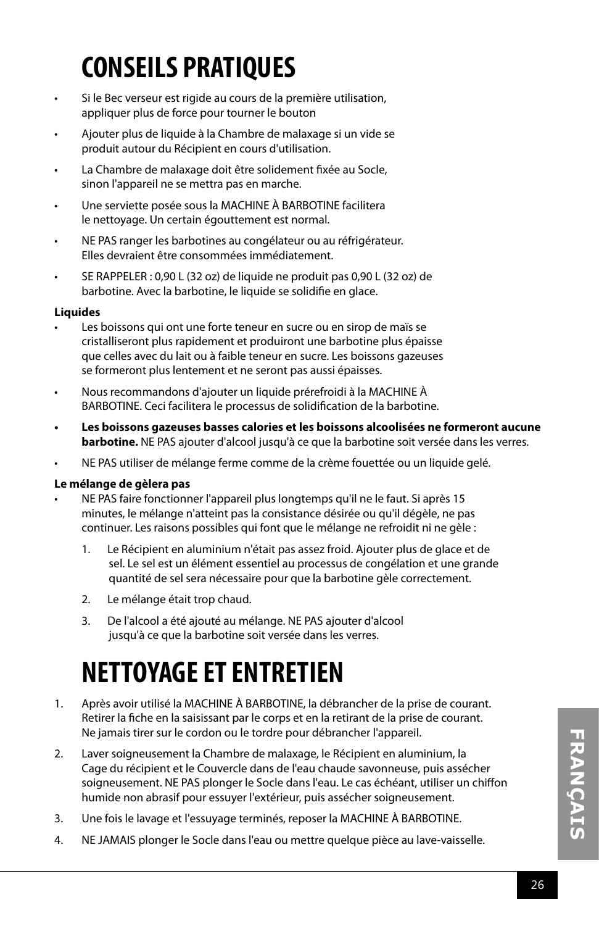## **CONSEILS PRATIQUES**

- Si le Bec verseur est rigide au cours de la première utilisation, appliquer plus de force pour tourner le bouton
- Ajouter plus de liquide à la Chambre de malaxage si un vide se produit autour du Récipient en cours d'utilisation.
- La Chambre de malaxage doit être solidement fixée au Socle, sinon l'appareil ne se mettra pas en marche.
- Une serviette posée sous la MACHINE À BARBOTINE facilitera le nettoyage. Un certain égouttement est normal.
- NE PAS ranger les barbotines au congélateur ou au réfrigérateur. Elles devraient être consommées immédiatement.
- SE RAPPELER : 0,90 L (32 oz) de liquide ne produit pas 0,90 L (32 oz) de barbotine. Avec la barbotine, le liquide se solidifie en glace.

### **Liquides**

- Les boissons qui ont une forte teneur en sucre ou en sirop de maïs se cristalliseront plus rapidement et produiront une barbotine plus épaisse que celles avec du lait ou à faible teneur en sucre. Les boissons gazeuses se formeront plus lentement et ne seront pas aussi épaisses.
- Nous recommandons d'ajouter un liquide prérefroidi à la MACHINE À BARBOTINE. Ceci facilitera le processus de solidification de la barbotine.
- **• Les boissons gazeuses basses calories et les boissons alcoolisées ne formeront aucune barbotine.** NE PAS ajouter d'alcool jusqu'à ce que la barbotine soit versée dans les verres.
- NE PAS utiliser de mélange ferme comme de la crème fouettée ou un liquide gelé.

### **Le mélange de gèlera pas**

- NE PAS faire fonctionner l'appareil plus longtemps qu'il ne le faut. Si après 15 minutes, le mélange n'atteint pas la consistance désirée ou qu'il dégèle, ne pas continuer. Les raisons possibles qui font que le mélange ne refroidit ni ne gèle :
	- 1. Le Récipient en aluminium n'était pas assez froid. Ajouter plus de glace et de sel. Le sel est un élément essentiel au processus de congélation et une grande quantité de sel sera nécessaire pour que la barbotine gèle correctement.
	- 2. Le mélange était trop chaud.
	- 3. De l'alcool a été ajouté au mélange. NE PAS ajouter d'alcool jusqu'à ce que la barbotine soit versée dans les verres.

## **NETTOYAGE ET ENTRETIEN**

- 1. Après avoir utilisé la MACHINE À BARBOTINE, la débrancher de la prise de courant. Retirer la fiche en la saisissant par le corps et en la retirant de la prise de courant. Ne jamais tirer sur le cordon ou le tordre pour débrancher l'appareil.
- 2. Laver soigneusement la Chambre de malaxage, le Récipient en aluminium, la Cage du récipient et le Couvercle dans de l'eau chaude savonneuse, puis assécher soigneusement. NE PAS plonger le Socle dans l'eau. Le cas échéant, utiliser un chiffon humide non abrasif pour essuyer l'extérieur, puis assécher soigneusement.
- 3. Une fois le lavage et l'essuyage terminés, reposer la MACHINE À BARBOTINE.
- 4. NE JAMAIS plonger le Socle dans l'eau ou mettre quelque pièce au lave-vaisselle.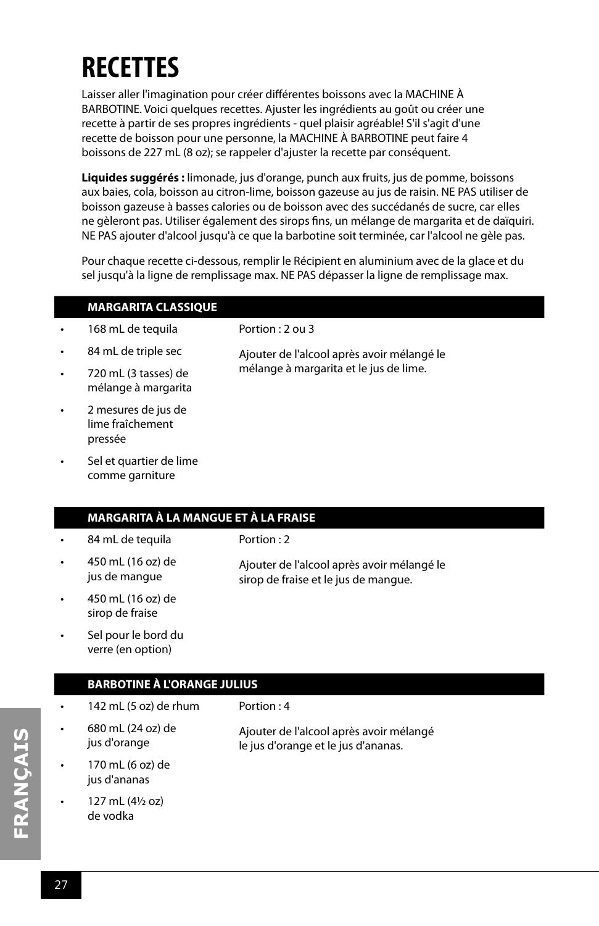## **RECETTES**

Laisser aller l'imagination pour créer différentes boissons avec la MACHINE À BARBOTINE. Voici quelques recettes. Ajuster les ingrédients au goût ou créer une recette à partir de ses propres ingrédients - quel plaisir agréable! S'il s'agit d'une recette de boisson pour une personne, la MACHINE À BARBOTINE peut faire 4 boissons de 227 mL (8 oz); se rappeler d'ajuster la recette par conséquent.

**Liquides suggérés :** limonade, jus d'orange, punch aux fruits, jus de pomme, boissons aux baies, cola, boisson au citron-lime, boisson gazeuse au jus de raisin. NE PAS utiliser de boisson gazeuse à basses calories ou de boisson avec des succédanés de sucre, car elles ne gèleront pas. Utiliser également des sirops fins, un mélange de margarita et de daïquiri. NE PAS ajouter d'alcool jusqu'à ce que la barbotine soit terminée, car l'alcool ne gèle pas.

Pour chaque recette ci-dessous, remplir le Récipient en aluminium avec de la glace et du sel jusqu'à la ligne de remplissage max. NE PAS dépasser la ligne de remplissage max.

|           | <b>MARGARITA CLASSIQUE</b>                         |                                                                                      |
|-----------|----------------------------------------------------|--------------------------------------------------------------------------------------|
| $\bullet$ | 168 mL de tequila                                  | Portion: 2 ou 3                                                                      |
| ٠         | 84 mL de triple sec                                | Ajouter de l'alcool après avoir mélangé le<br>mélange à margarita et le jus de lime. |
| $\bullet$ | 720 mL (3 tasses) de<br>mélange à margarita        |                                                                                      |
| $\bullet$ | 2 mesures de jus de<br>lime fraîchement<br>pressée |                                                                                      |

Sel et quartier de lime comme garniture

### **MARGARITA À LA MANGUE ET À LA FRAISE**

- 84 mL de tequila
- 450 mL (16 oz) de jus de mangue

Portion : 2

Ajouter de l'alcool après avoir mélangé le sirop de fraise et le jus de mangue.

- 450 mL (16 oz) de sirop de fraise
- Sel pour le bord du verre (en option)

### **BARBOTINE À L'ORANGE JULIUS**

|           | 142 mL (5 oz) de rhum             | Portion $: 4$                                                                  |
|-----------|-----------------------------------|--------------------------------------------------------------------------------|
|           | 680 mL (24 oz) de<br>jus d'orange | Ajouter de l'alcool après avoir mélangé<br>le jus d'orange et le jus d'ananas. |
| $\bullet$ | 170 mL (6 oz) de<br>jus d'ananas  |                                                                                |
|           | 127 mL (41/2 oz)<br>de vodka      |                                                                                |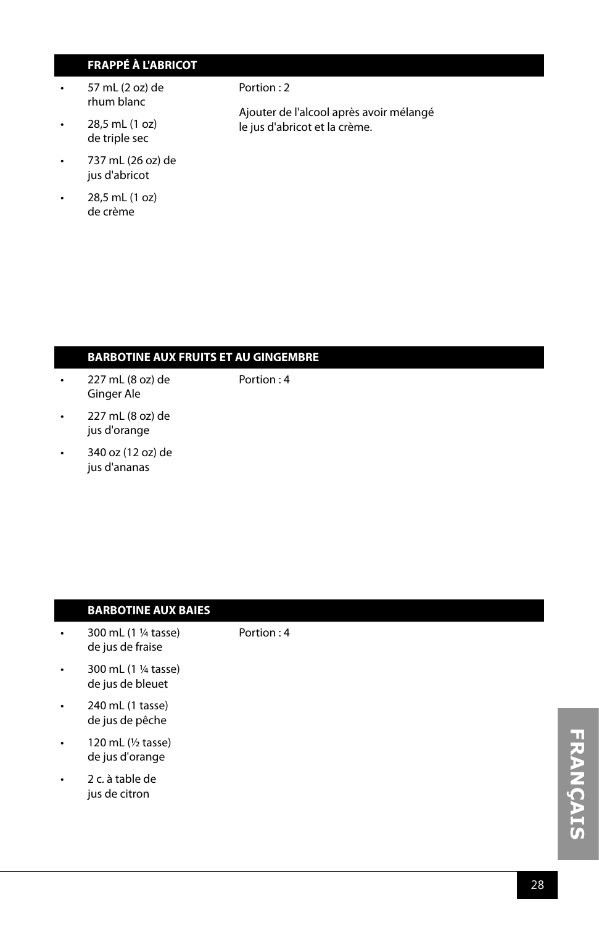### **FRAPPÉ À L'ABRICOT**

- $\cdot$  57 mL (2 oz) de rhum blanc
- 28,5 mL (1 oz) de triple sec
- 737 mL (26 oz) de jus d'abricot
- 28,5 mL (1 oz) de crème

#### Portion : 2

Portion : 4

Ajouter de l'alcool après avoir mélangé le jus d'abricot et la crème.

### **BARBOTINE AUX FRUITS ET AU GINGEMBRE**

- 227 mL (8 oz) de Ginger Ale Portion : 4
- 227 mL (8 oz) de jus d'orange
- 340 oz (12 oz) de jus d'ananas

### **BARBOTINE AUX BAIES**

- 300 mL (1 ¼ tasse) de jus de fraise
- $\cdot$  300 mL (1  $\frac{1}{4}$  tasse) de jus de bleuet
- 240 mL (1 tasse) de jus de pêche
- 120 mL (½ tasse) de jus d'orange
- 2 c. à table de jus de citron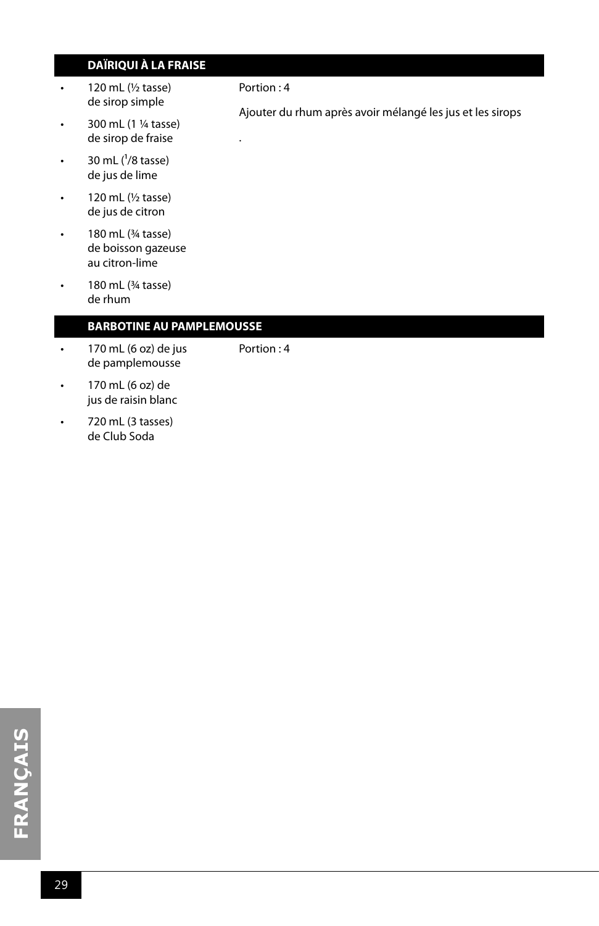### **DAÏRIQUI À LA FRAISE**

- $\cdot$  120 mL ( $\frac{1}{2}$  tasse) de sirop simple
- 300 mL (1 ¼ tasse) de sirop de fraise
- 30 mL  $(^1/8$  tasse) de jus de lime
- 120 mL (½ tasse) de jus de citron
- 180 mL (¾ tasse) de boisson gazeuse au citron-lime
- $\cdot$  180 mL ( $\frac{3}{4}$  tasse) de rhum

### **BARBOTINE AU PAMPLEMOUSSE**

- 170 mL (6 oz) de jus de pamplemousse
- Portion : 4
- 170 mL (6 oz) de jus de raisin blanc
- 720 mL (3 tasses) de Club Soda

#### Portion : 4

.

Ajouter du rhum après avoir mélangé les jus et les sirops